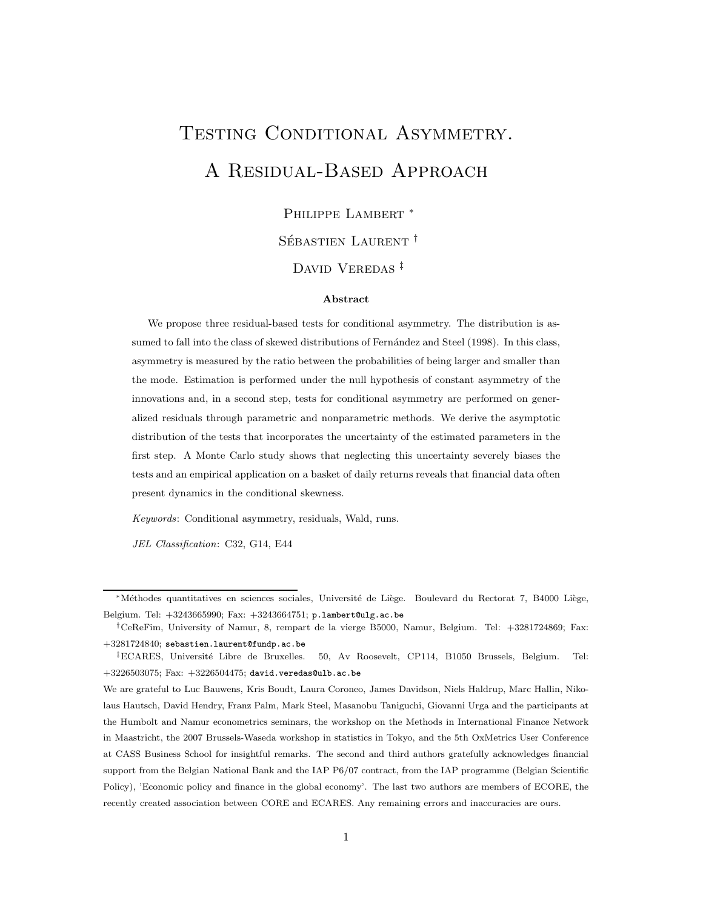# TESTING CONDITIONAL ASYMMETRY. A Residual-Based Approach

Philippe Lambert <sup>∗</sup>

SÉBASTIEN LAURENT<sup>†</sup>

DAVID VEREDAS<sup>‡</sup>

#### Abstract

We propose three residual-based tests for conditional asymmetry. The distribution is assumed to fall into the class of skewed distributions of Fernández and Steel (1998). In this class, asymmetry is measured by the ratio between the probabilities of being larger and smaller than the mode. Estimation is performed under the null hypothesis of constant asymmetry of the innovations and, in a second step, tests for conditional asymmetry are performed on generalized residuals through parametric and nonparametric methods. We derive the asymptotic distribution of the tests that incorporates the uncertainty of the estimated parameters in the first step. A Monte Carlo study shows that neglecting this uncertainty severely biases the tests and an empirical application on a basket of daily returns reveals that financial data often present dynamics in the conditional skewness.

Keywords: Conditional asymmetry, residuals, Wald, runs.

JEL Classification: C32, G14, E44

<sup>\*</sup>Méthodes quantitatives en sciences sociales, Université de Liège. Boulevard du Rectorat 7, B4000 Liège, Belgium. Tel: +3243665990; Fax: +3243664751; p.lambert@ulg.ac.be

<sup>†</sup>CeReFim, University of Namur, 8, rempart de la vierge B5000, Namur, Belgium. Tel: +3281724869; Fax: +3281724840; sebastien.laurent@fundp.ac.be

<sup>&</sup>lt;sup>‡</sup>ECARES, Université Libre de Bruxelles. 50, Av Roosevelt, CP114, B1050 Brussels, Belgium. Tel:  $+3226503075$ ; Fax:  $+3226504475$ ; david.veredas@ulb.ac.be

We are grateful to Luc Bauwens, Kris Boudt, Laura Coroneo, James Davidson, Niels Haldrup, Marc Hallin, Nikolaus Hautsch, David Hendry, Franz Palm, Mark Steel, Masanobu Taniguchi, Giovanni Urga and the participants at the Humbolt and Namur econometrics seminars, the workshop on the Methods in International Finance Network in Maastricht, the 2007 Brussels-Waseda workshop in statistics in Tokyo, and the 5th OxMetrics User Conference at CASS Business School for insightful remarks. The second and third authors gratefully acknowledges financial support from the Belgian National Bank and the IAP P6/07 contract, from the IAP programme (Belgian Scientific Policy), 'Economic policy and finance in the global economy'. The last two authors are members of ECORE, the recently created association between CORE and ECARES. Any remaining errors and inaccuracies are ours.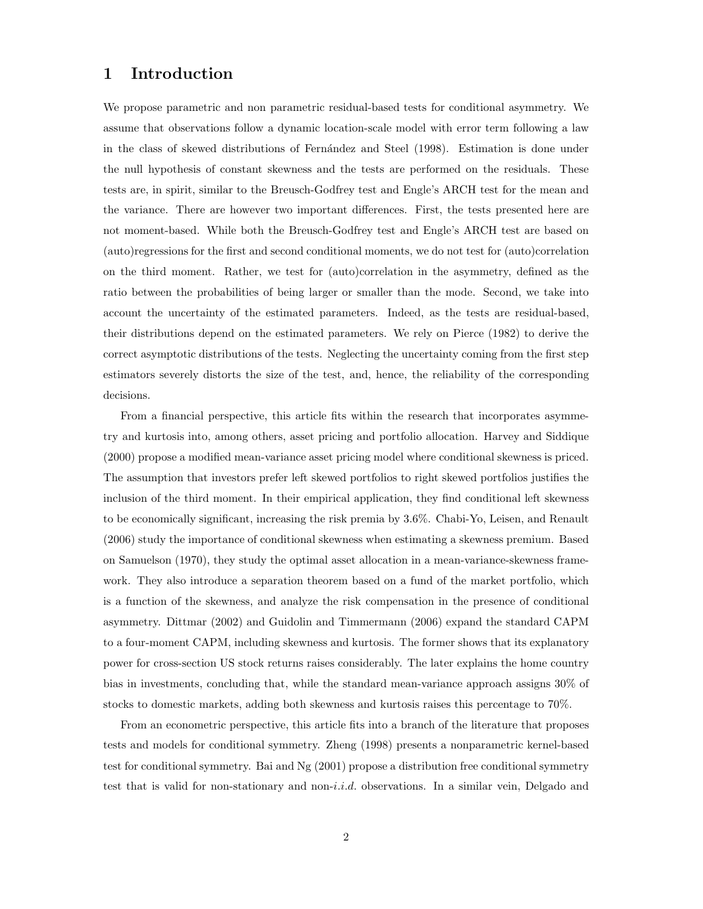## 1 Introduction

We propose parametric and non parametric residual-based tests for conditional asymmetry. We assume that observations follow a dynamic location-scale model with error term following a law in the class of skewed distributions of Fernández and Steel (1998). Estimation is done under the null hypothesis of constant skewness and the tests are performed on the residuals. These tests are, in spirit, similar to the Breusch-Godfrey test and Engle's ARCH test for the mean and the variance. There are however two important differences. First, the tests presented here are not moment-based. While both the Breusch-Godfrey test and Engle's ARCH test are based on (auto)regressions for the first and second conditional moments, we do not test for (auto)correlation on the third moment. Rather, we test for (auto)correlation in the asymmetry, defined as the ratio between the probabilities of being larger or smaller than the mode. Second, we take into account the uncertainty of the estimated parameters. Indeed, as the tests are residual-based, their distributions depend on the estimated parameters. We rely on Pierce (1982) to derive the correct asymptotic distributions of the tests. Neglecting the uncertainty coming from the first step estimators severely distorts the size of the test, and, hence, the reliability of the corresponding decisions.

From a financial perspective, this article fits within the research that incorporates asymmetry and kurtosis into, among others, asset pricing and portfolio allocation. Harvey and Siddique (2000) propose a modified mean-variance asset pricing model where conditional skewness is priced. The assumption that investors prefer left skewed portfolios to right skewed portfolios justifies the inclusion of the third moment. In their empirical application, they find conditional left skewness to be economically significant, increasing the risk premia by 3.6%. Chabi-Yo, Leisen, and Renault (2006) study the importance of conditional skewness when estimating a skewness premium. Based on Samuelson (1970), they study the optimal asset allocation in a mean-variance-skewness framework. They also introduce a separation theorem based on a fund of the market portfolio, which is a function of the skewness, and analyze the risk compensation in the presence of conditional asymmetry. Dittmar (2002) and Guidolin and Timmermann (2006) expand the standard CAPM to a four-moment CAPM, including skewness and kurtosis. The former shows that its explanatory power for cross-section US stock returns raises considerably. The later explains the home country bias in investments, concluding that, while the standard mean-variance approach assigns 30% of stocks to domestic markets, adding both skewness and kurtosis raises this percentage to 70%.

From an econometric perspective, this article fits into a branch of the literature that proposes tests and models for conditional symmetry. Zheng (1998) presents a nonparametric kernel-based test for conditional symmetry. Bai and Ng (2001) propose a distribution free conditional symmetry test that is valid for non-stationary and non-*i.i.d.* observations. In a similar vein, Delgado and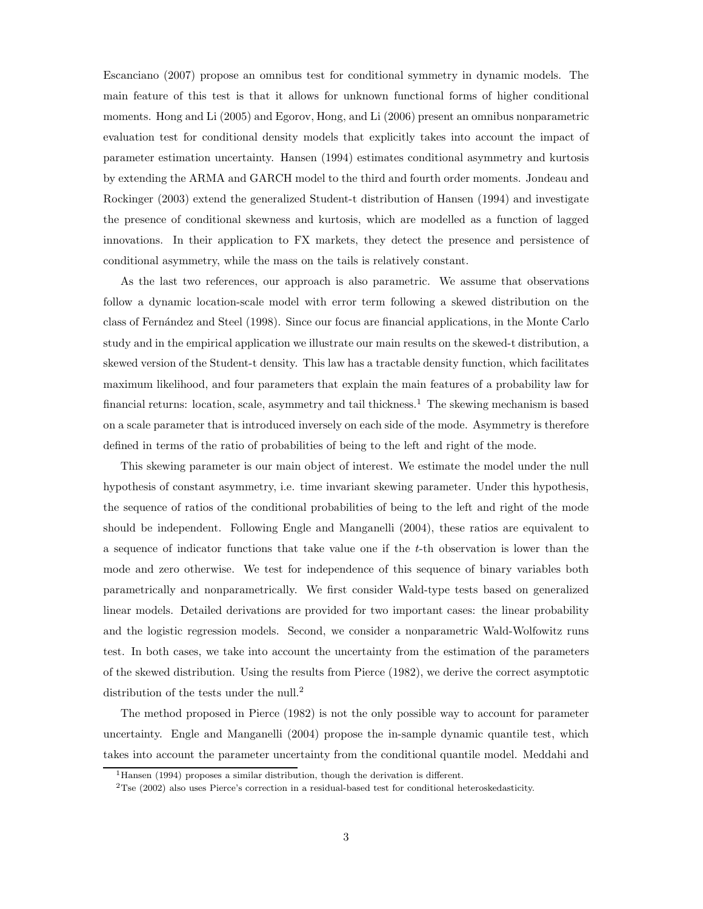Escanciano (2007) propose an omnibus test for conditional symmetry in dynamic models. The main feature of this test is that it allows for unknown functional forms of higher conditional moments. Hong and Li (2005) and Egorov, Hong, and Li (2006) present an omnibus nonparametric evaluation test for conditional density models that explicitly takes into account the impact of parameter estimation uncertainty. Hansen (1994) estimates conditional asymmetry and kurtosis by extending the ARMA and GARCH model to the third and fourth order moments. Jondeau and Rockinger (2003) extend the generalized Student-t distribution of Hansen (1994) and investigate the presence of conditional skewness and kurtosis, which are modelled as a function of lagged innovations. In their application to FX markets, they detect the presence and persistence of conditional asymmetry, while the mass on the tails is relatively constant.

As the last two references, our approach is also parametric. We assume that observations follow a dynamic location-scale model with error term following a skewed distribution on the class of Fern´andez and Steel (1998). Since our focus are financial applications, in the Monte Carlo study and in the empirical application we illustrate our main results on the skewed-t distribution, a skewed version of the Student-t density. This law has a tractable density function, which facilitates maximum likelihood, and four parameters that explain the main features of a probability law for financial returns: location, scale, asymmetry and tail thickness.<sup>1</sup> The skewing mechanism is based on a scale parameter that is introduced inversely on each side of the mode. Asymmetry is therefore defined in terms of the ratio of probabilities of being to the left and right of the mode.

This skewing parameter is our main object of interest. We estimate the model under the null hypothesis of constant asymmetry, i.e. time invariant skewing parameter. Under this hypothesis, the sequence of ratios of the conditional probabilities of being to the left and right of the mode should be independent. Following Engle and Manganelli (2004), these ratios are equivalent to a sequence of indicator functions that take value one if the  $t$ -th observation is lower than the mode and zero otherwise. We test for independence of this sequence of binary variables both parametrically and nonparametrically. We first consider Wald-type tests based on generalized linear models. Detailed derivations are provided for two important cases: the linear probability and the logistic regression models. Second, we consider a nonparametric Wald-Wolfowitz runs test. In both cases, we take into account the uncertainty from the estimation of the parameters of the skewed distribution. Using the results from Pierce (1982), we derive the correct asymptotic distribution of the tests under the null.<sup>2</sup>

The method proposed in Pierce (1982) is not the only possible way to account for parameter uncertainty. Engle and Manganelli (2004) propose the in-sample dynamic quantile test, which takes into account the parameter uncertainty from the conditional quantile model. Meddahi and

<sup>&</sup>lt;sup>1</sup>Hansen (1994) proposes a similar distribution, though the derivation is different.

<sup>2</sup>Tse (2002) also uses Pierce's correction in a residual-based test for conditional heteroskedasticity.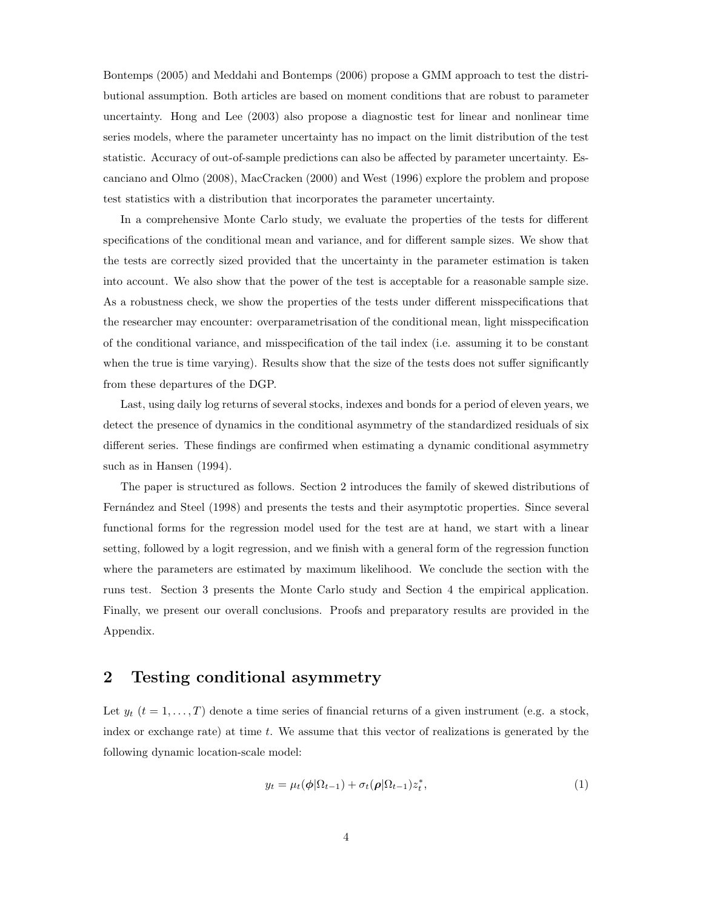Bontemps (2005) and Meddahi and Bontemps (2006) propose a GMM approach to test the distributional assumption. Both articles are based on moment conditions that are robust to parameter uncertainty. Hong and Lee (2003) also propose a diagnostic test for linear and nonlinear time series models, where the parameter uncertainty has no impact on the limit distribution of the test statistic. Accuracy of out-of-sample predictions can also be affected by parameter uncertainty. Escanciano and Olmo (2008), MacCracken (2000) and West (1996) explore the problem and propose test statistics with a distribution that incorporates the parameter uncertainty.

In a comprehensive Monte Carlo study, we evaluate the properties of the tests for different specifications of the conditional mean and variance, and for different sample sizes. We show that the tests are correctly sized provided that the uncertainty in the parameter estimation is taken into account. We also show that the power of the test is acceptable for a reasonable sample size. As a robustness check, we show the properties of the tests under different misspecifications that the researcher may encounter: overparametrisation of the conditional mean, light misspecification of the conditional variance, and misspecification of the tail index (i.e. assuming it to be constant when the true is time varying). Results show that the size of the tests does not suffer significantly from these departures of the DGP.

Last, using daily log returns of several stocks, indexes and bonds for a period of eleven years, we detect the presence of dynamics in the conditional asymmetry of the standardized residuals of six different series. These findings are confirmed when estimating a dynamic conditional asymmetry such as in Hansen (1994).

The paper is structured as follows. Section 2 introduces the family of skewed distributions of Fernández and Steel (1998) and presents the tests and their asymptotic properties. Since several functional forms for the regression model used for the test are at hand, we start with a linear setting, followed by a logit regression, and we finish with a general form of the regression function where the parameters are estimated by maximum likelihood. We conclude the section with the runs test. Section 3 presents the Monte Carlo study and Section 4 the empirical application. Finally, we present our overall conclusions. Proofs and preparatory results are provided in the Appendix.

## 2 Testing conditional asymmetry

Let  $y_t$   $(t = 1, \ldots, T)$  denote a time series of financial returns of a given instrument (e.g. a stock, index or exchange rate) at time t. We assume that this vector of realizations is generated by the following dynamic location-scale model:

$$
y_t = \mu_t(\phi|\Omega_{t-1}) + \sigma_t(\rho|\Omega_{t-1})z_t^*,
$$
\n(1)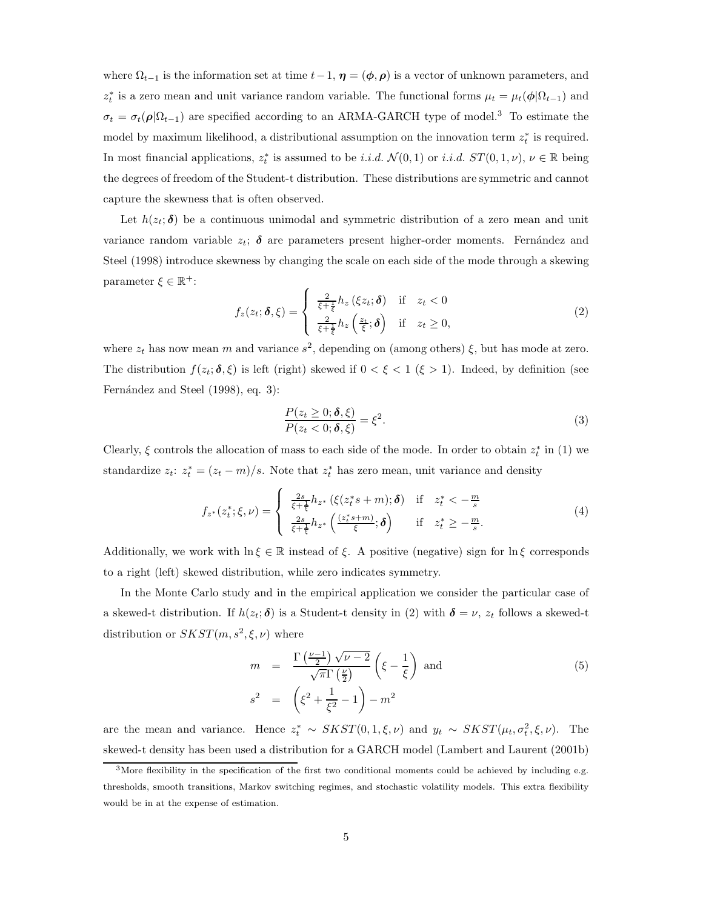where  $\Omega_{t-1}$  is the information set at time  $t-1$ ,  $\eta = (\phi, \rho)$  is a vector of unknown parameters, and  $z_t^*$  is a zero mean and unit variance random variable. The functional forms  $\mu_t = \mu_t(\phi | \Omega_{t-1})$  and  $\sigma_t = \sigma_t(\rho|\Omega_{t-1})$  are specified according to an ARMA-GARCH type of model.<sup>3</sup> To estimate the model by maximum likelihood, a distributional assumption on the innovation term  $z_t^*$  is required. In most financial applications,  $z_t^*$  is assumed to be *i.i.d.*  $\mathcal{N}(0,1)$  or *i.i.d.*  $ST(0,1,\nu)$ ,  $\nu \in \mathbb{R}$  being the degrees of freedom of the Student-t distribution. These distributions are symmetric and cannot capture the skewness that is often observed.

Let  $h(z_t; \delta)$  be a continuous unimodal and symmetric distribution of a zero mean and unit variance random variable  $z_t$ ;  $\delta$  are parameters present higher-order moments. Fernández and Steel (1998) introduce skewness by changing the scale on each side of the mode through a skewing parameter  $\xi \in \mathbb{R}^+$ :

$$
f_z(z_t; \boldsymbol{\delta}, \boldsymbol{\xi}) = \begin{cases} \frac{2}{\xi + \frac{1}{\xi}} h_z(\xi z_t; \boldsymbol{\delta}) & \text{if } z_t < 0\\ \frac{2}{\xi + \frac{1}{\xi}} h_z(\frac{z_t}{\xi}; \boldsymbol{\delta}) & \text{if } z_t \ge 0, \end{cases} \tag{2}
$$

where  $z_t$  has now mean m and variance  $s^2$ , depending on (among others)  $\xi$ , but has mode at zero. The distribution  $f(z_t; \delta, \xi)$  is left (right) skewed if  $0 < \xi < 1$  ( $\xi > 1$ ). Indeed, by definition (see Fernández and Steel (1998), eq. 3):

$$
\frac{P(z_t \ge 0; \delta, \xi)}{P(z_t < 0; \delta, \xi)} = \xi^2. \tag{3}
$$

Clearly,  $\xi$  controls the allocation of mass to each side of the mode. In order to obtain  $z_t^*$  in (1) we standardize  $z_t$ :  $z_t^* = (z_t - m)/s$ . Note that  $z_t^*$  has zero mean, unit variance and density

$$
f_{z^*}(z_t^*; \xi, \nu) = \begin{cases} \frac{2s}{\xi + \frac{1}{\xi}} h_{z^*} \left( \xi(z_t^* s + m); \delta \right) & \text{if } z_t^* < -\frac{m}{s} \\ \frac{2s}{\xi + \frac{1}{\xi}} h_{z^*} \left( \frac{(z_t^* s + m)}{\xi}; \delta \right) & \text{if } z_t^* \ge -\frac{m}{s}. \end{cases}
$$
(4)

Additionally, we work with  $\ln \xi \in \mathbb{R}$  instead of  $\xi$ . A positive (negative) sign for  $\ln \xi$  corresponds to a right (left) skewed distribution, while zero indicates symmetry.

In the Monte Carlo study and in the empirical application we consider the particular case of a skewed-t distribution. If  $h(z_t; \delta)$  is a Student-t density in (2) with  $\delta = \nu$ ,  $z_t$  follows a skewed-t distribution or  $SKST(m, s^2, \xi, \nu)$  where

$$
m = \frac{\Gamma\left(\frac{\nu-1}{2}\right)\sqrt{\nu-2}}{\sqrt{\pi}\Gamma\left(\frac{\nu}{2}\right)} \left(\xi - \frac{1}{\xi}\right) \text{ and } \qquad (5)
$$
  

$$
s^2 = \left(\xi^2 + \frac{1}{\xi^2} - 1\right) - m^2
$$

are the mean and variance. Hence  $z_t^* \sim SKST(0, 1, \xi, \nu)$  and  $y_t \sim SKST(\mu_t, \sigma_t^2, \xi, \nu)$ . The skewed-t density has been used a distribution for a GARCH model (Lambert and Laurent (2001b)

 $3$ More flexibility in the specification of the first two conditional moments could be achieved by including e.g. thresholds, smooth transitions, Markov switching regimes, and stochastic volatility models. This extra flexibility would be in at the expense of estimation.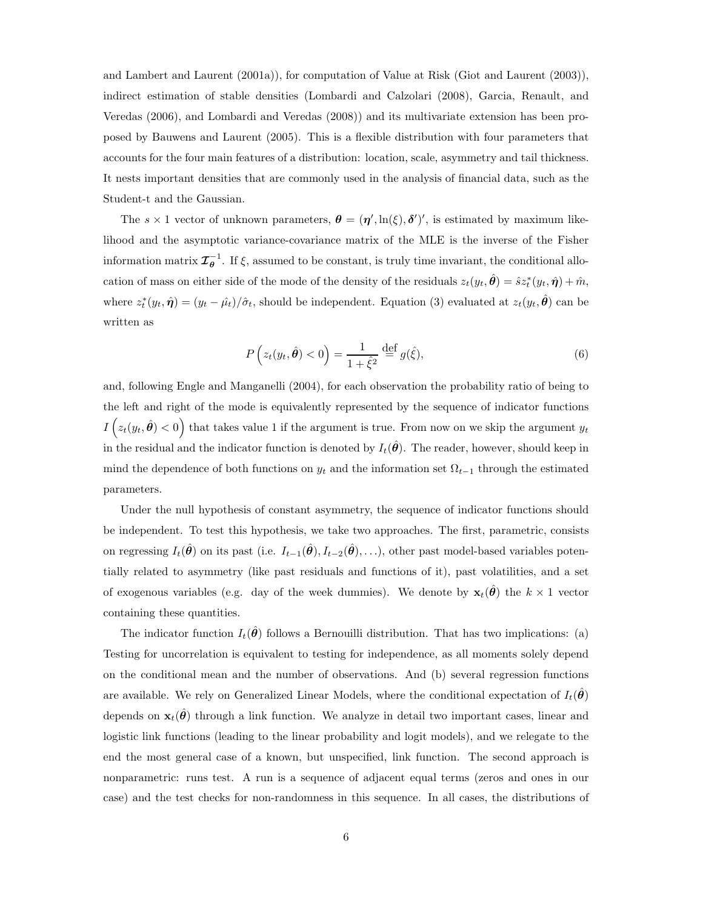and Lambert and Laurent (2001a)), for computation of Value at Risk (Giot and Laurent (2003)), indirect estimation of stable densities (Lombardi and Calzolari (2008), Garcia, Renault, and Veredas (2006), and Lombardi and Veredas (2008)) and its multivariate extension has been proposed by Bauwens and Laurent (2005). This is a flexible distribution with four parameters that accounts for the four main features of a distribution: location, scale, asymmetry and tail thickness. It nests important densities that are commonly used in the analysis of financial data, such as the Student-t and the Gaussian.

The  $s \times 1$  vector of unknown parameters,  $\boldsymbol{\theta} = (\boldsymbol{\eta}', \ln(\xi), \boldsymbol{\delta}')'$ , is estimated by maximum likelihood and the asymptotic variance-covariance matrix of the MLE is the inverse of the Fisher information matrix  $\mathcal{I}_{\theta}^{-1}$ . If  $\xi$ , assumed to be constant, is truly time invariant, the conditional allocation of mass on either side of the mode of the density of the residuals  $z_t(y_t, \hat{\theta}) = \hat{s} z_t^*(y_t, \hat{\eta}) + \hat{m}$ , where  $z_t^*(y_t, \hat{\boldsymbol{\eta}}) = (y_t - \hat{\mu}_t)/\hat{\sigma}_t$ , should be independent. Equation (3) evaluated at  $z_t(y_t, \hat{\boldsymbol{\theta}})$  can be written as

$$
P(z_t(y_t, \hat{\theta}) < 0) = \frac{1}{1 + \hat{\xi}^2} \stackrel{\text{def}}{=} g(\hat{\xi}),\tag{6}
$$

and, following Engle and Manganelli (2004), for each observation the probability ratio of being to the left and right of the mode is equivalently represented by the sequence of indicator functions  $I(z_t(y_t, \hat{\theta}) < 0)$  that takes value 1 if the argument is true. From now on we skip the argument  $y_t$ in the residual and the indicator function is denoted by  $I_t(\hat{\theta})$ . The reader, however, should keep in mind the dependence of both functions on  $y_t$  and the information set  $\Omega_{t-1}$  through the estimated parameters.

Under the null hypothesis of constant asymmetry, the sequence of indicator functions should be independent. To test this hypothesis, we take two approaches. The first, parametric, consists on regressing  $I_t(\hat{\theta})$  on its past (i.e.  $I_{t-1}(\hat{\theta}), I_{t-2}(\hat{\theta}), \ldots$ ), other past model-based variables potentially related to asymmetry (like past residuals and functions of it), past volatilities, and a set of exogenous variables (e.g. day of the week dummies). We denote by  $\mathbf{x}_t(\hat{\theta})$  the  $k \times 1$  vector containing these quantities.

The indicator function  $I_t(\theta)$  follows a Bernouilli distribution. That has two implications: (a) Testing for uncorrelation is equivalent to testing for independence, as all moments solely depend on the conditional mean and the number of observations. And (b) several regression functions are available. We rely on Generalized Linear Models, where the conditional expectation of  $I_t(\theta)$ depends on  $\mathbf{x}_t(\hat{\theta})$  through a link function. We analyze in detail two important cases, linear and logistic link functions (leading to the linear probability and logit models), and we relegate to the end the most general case of a known, but unspecified, link function. The second approach is nonparametric: runs test. A run is a sequence of adjacent equal terms (zeros and ones in our case) and the test checks for non-randomness in this sequence. In all cases, the distributions of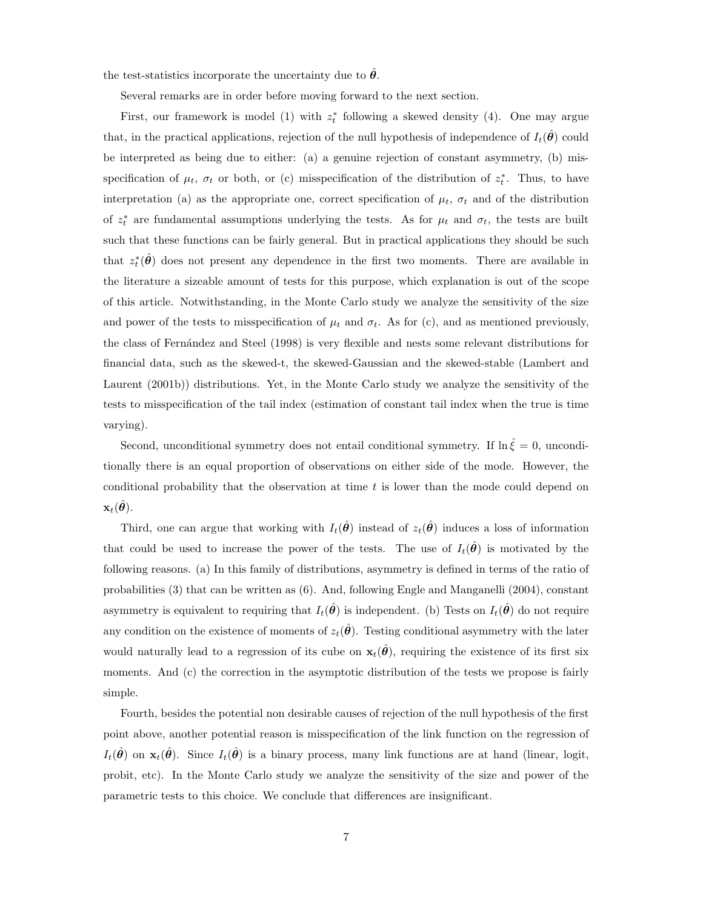the test-statistics incorporate the uncertainty due to  $\hat{\theta}$ .

Several remarks are in order before moving forward to the next section.

First, our framework is model (1) with  $z_t^*$  following a skewed density (4). One may argue that, in the practical applications, rejection of the null hypothesis of independence of  $I_t(\theta)$  could be interpreted as being due to either: (a) a genuine rejection of constant asymmetry, (b) misspecification of  $\mu_t$ ,  $\sigma_t$  or both, or (c) misspecification of the distribution of  $z_t^*$ . Thus, to have interpretation (a) as the appropriate one, correct specification of  $\mu_t$ ,  $\sigma_t$  and of the distribution of  $z_t^*$  are fundamental assumptions underlying the tests. As for  $\mu_t$  and  $\sigma_t$ , the tests are built such that these functions can be fairly general. But in practical applications they should be such that  $z_t^*(\hat{\theta})$  does not present any dependence in the first two moments. There are available in the literature a sizeable amount of tests for this purpose, which explanation is out of the scope of this article. Notwithstanding, in the Monte Carlo study we analyze the sensitivity of the size and power of the tests to misspecification of  $\mu_t$  and  $\sigma_t$ . As for (c), and as mentioned previously, the class of Fern´andez and Steel (1998) is very flexible and nests some relevant distributions for financial data, such as the skewed-t, the skewed-Gaussian and the skewed-stable (Lambert and Laurent (2001b)) distributions. Yet, in the Monte Carlo study we analyze the sensitivity of the tests to misspecification of the tail index (estimation of constant tail index when the true is time varying).

Second, unconditional symmetry does not entail conditional symmetry. If  $\ln \hat{\xi} = 0$ , unconditionally there is an equal proportion of observations on either side of the mode. However, the conditional probability that the observation at time  $t$  is lower than the mode could depend on  $\mathbf{x}_t(\boldsymbol{\theta}).$ 

Third, one can argue that working with  $I_t(\hat{\theta})$  instead of  $z_t(\hat{\theta})$  induces a loss of information that could be used to increase the power of the tests. The use of  $I_t(\hat{\theta})$  is motivated by the following reasons. (a) In this family of distributions, asymmetry is defined in terms of the ratio of probabilities (3) that can be written as (6). And, following Engle and Manganelli (2004), constant asymmetry is equivalent to requiring that  $I_t(\hat{\theta})$  is independent. (b) Tests on  $I_t(\hat{\theta})$  do not require any condition on the existence of moments of  $z_t(\hat{\theta})$ . Testing conditional asymmetry with the later would naturally lead to a regression of its cube on  $\mathbf{x}_t(\hat{\theta})$ , requiring the existence of its first six moments. And (c) the correction in the asymptotic distribution of the tests we propose is fairly simple.

Fourth, besides the potential non desirable causes of rejection of the null hypothesis of the first point above, another potential reason is misspecification of the link function on the regression of  $I_t(\hat{\theta})$  on  $\mathbf{x}_t(\hat{\theta})$ . Since  $I_t(\hat{\theta})$  is a binary process, many link functions are at hand (linear, logit, probit, etc). In the Monte Carlo study we analyze the sensitivity of the size and power of the parametric tests to this choice. We conclude that differences are insignificant.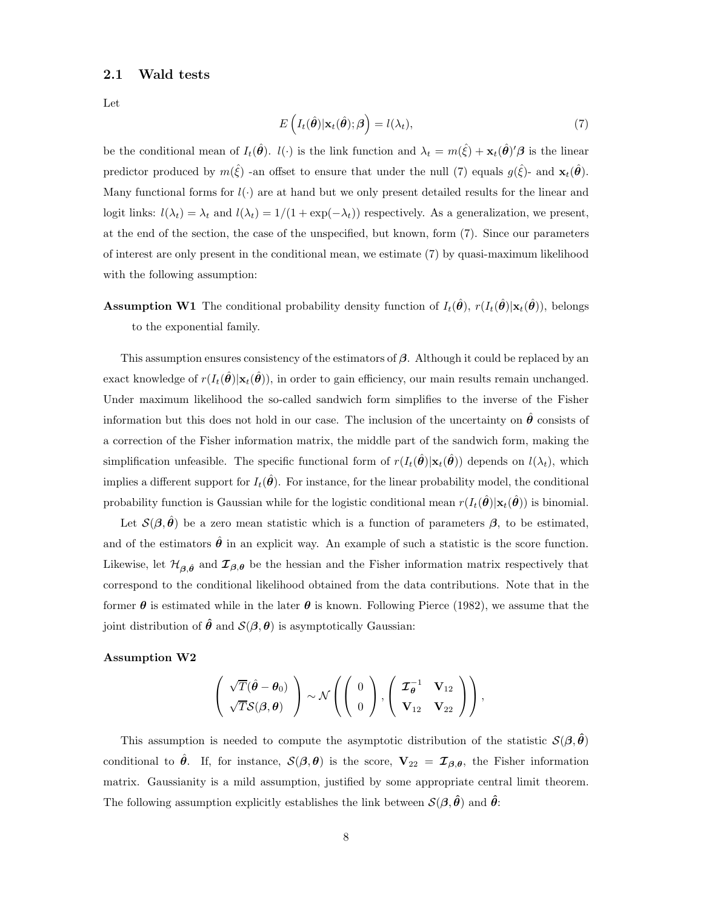#### 2.1 Wald tests

Let

$$
E\left(I_t(\hat{\boldsymbol{\theta}})|\mathbf{x}_t(\hat{\boldsymbol{\theta}}); \boldsymbol{\beta}\right) = l(\lambda_t),\tag{7}
$$

be the conditional mean of  $I_t(\hat{\theta})$ .  $l(\cdot)$  is the link function and  $\lambda_t = m(\hat{\xi}) + \mathbf{x}_t(\hat{\theta})' \beta$  is the linear predictor produced by  $m(\hat{\xi})$  -an offset to ensure that under the null (7) equals  $g(\hat{\xi})$ - and  $\mathbf{x}_t(\hat{\theta})$ . Many functional forms for  $l(\cdot)$  are at hand but we only present detailed results for the linear and logit links:  $l(\lambda_t) = \lambda_t$  and  $l(\lambda_t) = 1/(1 + \exp(-\lambda_t))$  respectively. As a generalization, we present, at the end of the section, the case of the unspecified, but known, form (7). Since our parameters of interest are only present in the conditional mean, we estimate (7) by quasi-maximum likelihood with the following assumption:

# **Assumption W1** The conditional probability density function of  $I_t(\hat{\theta})$ ,  $r(I_t(\hat{\theta})|\mathbf{x}_t(\hat{\theta}))$ , belongs to the exponential family.

This assumption ensures consistency of the estimators of  $\beta$ . Although it could be replaced by an exact knowledge of  $r(I_t(\hat{\theta})|x_t(\hat{\theta}))$ , in order to gain efficiency, our main results remain unchanged. Under maximum likelihood the so-called sandwich form simplifies to the inverse of the Fisher information but this does not hold in our case. The inclusion of the uncertainty on  $\hat{\theta}$  consists of a correction of the Fisher information matrix, the middle part of the sandwich form, making the simplification unfeasible. The specific functional form of  $r(I_t(\hat{\theta})|\mathbf{x}_t(\hat{\theta}))$  depends on  $l(\lambda_t)$ , which implies a different support for  $I_t(\hat{\theta})$ . For instance, for the linear probability model, the conditional probability function is Gaussian while for the logistic conditional mean  $r(I_t(\theta)|\mathbf{x}_t(\theta))$  is binomial.

Let  $\mathcal{S}(\beta, \hat{\theta})$  be a zero mean statistic which is a function of parameters  $\beta$ , to be estimated, and of the estimators  $\hat{\theta}$  in an explicit way. An example of such a statistic is the score function. Likewise, let  $\mathcal{H}_{\beta,\hat{\theta}}$  and  $\mathcal{I}_{\beta,\theta}$  be the hessian and the Fisher information matrix respectively that correspond to the conditional likelihood obtained from the data contributions. Note that in the former  $\theta$  is estimated while in the later  $\theta$  is known. Following Pierce (1982), we assume that the joint distribution of  $\hat{\theta}$  and  $\mathcal{S}(\beta,\theta)$  is asymptotically Gaussian:

#### Assumption W2

$$
\left(\begin{array}{c}\sqrt{T}(\hat{\theta}-\theta_0)\\ \sqrt{T}\mathcal{S}(\beta,\theta)\end{array}\right)\sim\mathcal{N}\left(\left(\begin{array}{c}0\\0\end{array}\right),\left(\begin{array}{cc}\mathcal{I}_{\theta}^{-1}&\mathbf{V}_{12}\\ \mathbf{V}_{12}&\mathbf{V}_{22}\end{array}\right)\right),\right.
$$

This assumption is needed to compute the asymptotic distribution of the statistic  $\mathcal{S}(\beta, \hat{\theta})$ conditional to  $\hat{\theta}$ . If, for instance,  $\mathcal{S}(\beta, \theta)$  is the score,  $V_{22} = \mathcal{I}_{\beta, \theta}$ , the Fisher information matrix. Gaussianity is a mild assumption, justified by some appropriate central limit theorem. The following assumption explicitly establishes the link between  $\mathcal{S}(\beta, \hat{\theta})$  and  $\hat{\theta}$ :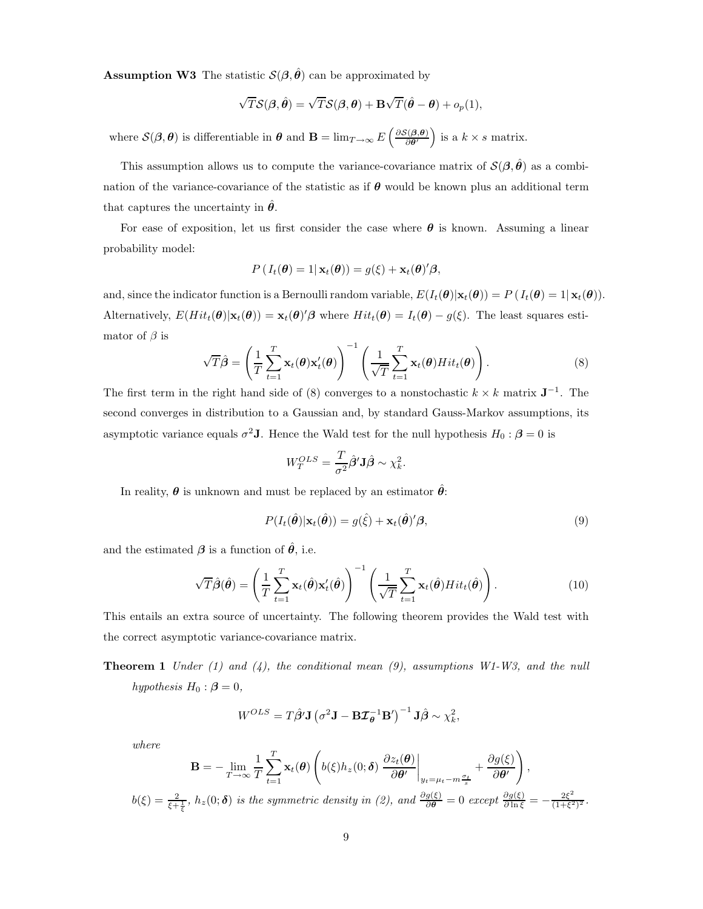**Assumption W3** The statistic  $\mathcal{S}(\beta, \hat{\theta})$  can be approximated by

$$
\sqrt{T}\mathcal{S}(\boldsymbol{\beta},\hat{\boldsymbol{\theta}}) = \sqrt{T}\mathcal{S}(\boldsymbol{\beta},\boldsymbol{\theta}) + \mathbf{B}\sqrt{T}(\hat{\boldsymbol{\theta}} - \boldsymbol{\theta}) + o_p(1),
$$

where  $\mathcal{S}(\beta, \theta)$  is differentiable in  $\theta$  and  $\mathbf{B} = \lim_{T \to \infty} E\left(\frac{\partial \mathcal{S}(\beta, \theta)}{\partial \theta}\right)$  is a  $k \times s$  matrix.

This assumption allows us to compute the variance-covariance matrix of  $\mathcal{S}(\beta, \hat{\theta})$  as a combination of the variance-covariance of the statistic as if  $\theta$  would be known plus an additional term that captures the uncertainty in  $\hat{\theta}$ .

For ease of exposition, let us first consider the case where  $\theta$  is known. Assuming a linear probability model:

$$
P(I_t(\boldsymbol{\theta})=1|\mathbf{x}_t(\boldsymbol{\theta}))=g(\xi)+\mathbf{x}_t(\boldsymbol{\theta})'\boldsymbol{\beta},
$$

and, since the indicator function is a Bernoulli random variable,  $E(I_t(\theta)|\mathbf{x}_t(\theta)) = P(I_t(\theta) = 1|\mathbf{x}_t(\theta)).$ Alternatively,  $E(Hit_t(\theta)|\mathbf{x}_t(\theta)) = \mathbf{x}_t(\theta)'\beta$  where  $Hit_t(\theta) = I_t(\theta) - g(\xi)$ . The least squares estimator of  $\beta$  is

$$
\sqrt{T}\hat{\boldsymbol{\beta}} = \left(\frac{1}{T}\sum_{t=1}^{T} \mathbf{x}_t(\boldsymbol{\theta})\mathbf{x}'_t(\boldsymbol{\theta})\right)^{-1} \left(\frac{1}{\sqrt{T}}\sum_{t=1}^{T} \mathbf{x}_t(\boldsymbol{\theta})Hit_t(\boldsymbol{\theta})\right).
$$
\n(8)

The first term in the right hand side of (8) converges to a nonstochastic  $k \times k$  matrix  $\mathbf{J}^{-1}$ . The second converges in distribution to a Gaussian and, by standard Gauss-Markov assumptions, its asymptotic variance equals  $\sigma^2$ **J**. Hence the Wald test for the null hypothesis  $H_0$ :  $\beta = 0$  is

$$
W_T^{OLS} = \frac{T}{\sigma^2} \hat{\boldsymbol{\beta}}' \mathbf{J} \hat{\boldsymbol{\beta}} \sim \chi_k^2.
$$

In reality,  $\theta$  is unknown and must be replaced by an estimator  $\hat{\theta}$ :

$$
P(I_t(\hat{\boldsymbol{\theta}})|\mathbf{x}_t(\hat{\boldsymbol{\theta}})) = g(\hat{\xi}) + \mathbf{x}_t(\hat{\boldsymbol{\theta}})' \boldsymbol{\beta},
$$
\n(9)

and the estimated  $\beta$  is a function of  $\hat{\theta}$ , i.e.

$$
\sqrt{T}\hat{\boldsymbol{\beta}}(\hat{\boldsymbol{\theta}}) = \left(\frac{1}{T}\sum_{t=1}^T \mathbf{x}_t(\hat{\boldsymbol{\theta}})\mathbf{x}_t'(\hat{\boldsymbol{\theta}})\right)^{-1} \left(\frac{1}{\sqrt{T}}\sum_{t=1}^T \mathbf{x}_t(\hat{\boldsymbol{\theta}})Hit_t(\hat{\boldsymbol{\theta}})\right).
$$
(10)

This entails an extra source of uncertainty. The following theorem provides the Wald test with the correct asymptotic variance-covariance matrix.

**Theorem 1** Under (1) and (4), the conditional mean (9), assumptions  $W1-W3$ , and the null hypothesis  $H_0$ :  $\beta = 0$ ,

$$
W^{OLS} = T\hat{\boldsymbol{\beta}}'\mathbf{J} (\sigma^2 \mathbf{J} - \mathbf{B}\mathbf{Z}_{\boldsymbol{\theta}}^{-1} \mathbf{B}')^{-1} \mathbf{J}\hat{\boldsymbol{\beta}} \sim \chi_k^2,
$$

where

$$
\mathbf{B} = -\lim_{T \to \infty} \frac{1}{T} \sum_{t=1}^{T} \mathbf{x}_t(\boldsymbol{\theta}) \left( b(\xi) h_z(0; \boldsymbol{\delta}) \left. \frac{\partial z_t(\boldsymbol{\theta})}{\partial \boldsymbol{\theta}'} \right|_{y_t = \mu_t - m \frac{\sigma_t}{s}} + \frac{\partial g(\xi)}{\partial \boldsymbol{\theta}'} \right),
$$
  

$$
b(\xi) = \frac{2}{\xi + \frac{1}{\xi}}, h_z(0; \boldsymbol{\delta}) \text{ is the symmetric density in (2), and } \frac{\partial g(\xi)}{\partial \boldsymbol{\theta}} = 0 \text{ except } \frac{\partial g(\xi)}{\partial \ln \xi} = -\frac{2\xi^2}{(1 + \xi^2)^2}.
$$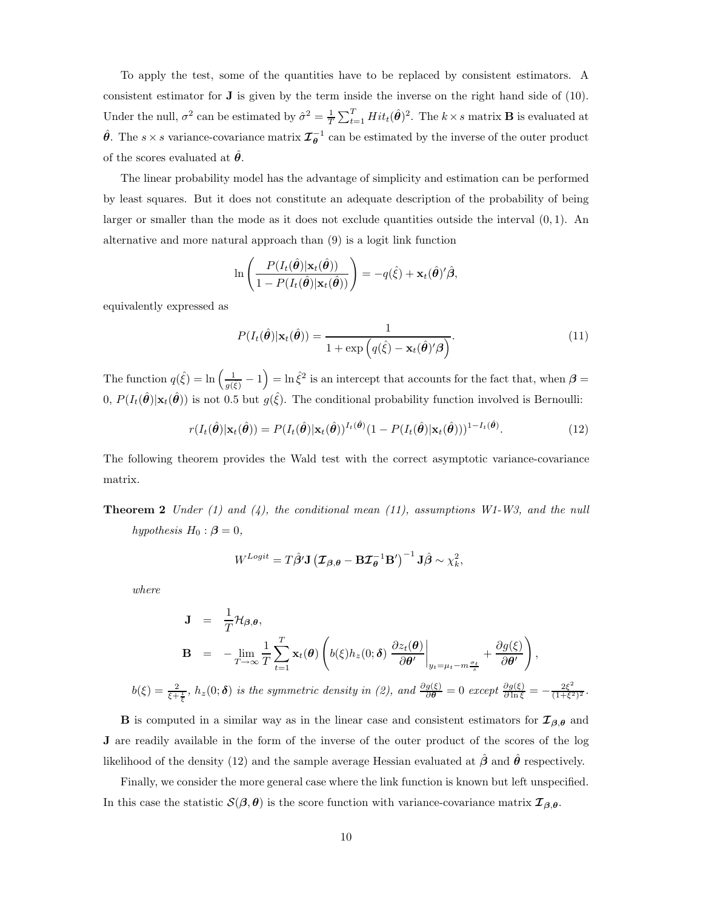To apply the test, some of the quantities have to be replaced by consistent estimators. A consistent estimator for  $\bf{J}$  is given by the term inside the inverse on the right hand side of (10). Under the null,  $\sigma^2$  can be estimated by  $\hat{\sigma}^2 = \frac{1}{T} \sum_{t=1}^T Hit_t(\hat{\theta})^2$ . The  $k \times s$  matrix **B** is evaluated at  $\hat{\theta}$ . The s × s variance-covariance matrix  $\mathcal{I}_{\theta}^{-1}$  can be estimated by the inverse of the outer product of the scores evaluated at  $\hat{\theta}$ .

The linear probability model has the advantage of simplicity and estimation can be performed by least squares. But it does not constitute an adequate description of the probability of being larger or smaller than the mode as it does not exclude quantities outside the interval  $(0, 1)$ . An alternative and more natural approach than (9) is a logit link function

$$
\ln\left(\frac{P(I_t(\hat{\boldsymbol{\theta}})|\mathbf{x}_t(\hat{\boldsymbol{\theta}}))}{1-P(I_t(\hat{\boldsymbol{\theta}})|\mathbf{x}_t(\hat{\boldsymbol{\theta}}))}\right)=-q(\hat{\xi})+\mathbf{x}_t(\hat{\boldsymbol{\theta}})'\hat{\boldsymbol{\beta}},
$$

equivalently expressed as

$$
P(I_t(\hat{\boldsymbol{\theta}})|\mathbf{x}_t(\hat{\boldsymbol{\theta}})) = \frac{1}{1 + \exp\left(q(\hat{\xi}) - \mathbf{x}_t(\hat{\boldsymbol{\theta}})'\boldsymbol{\beta}\right)}.
$$
\n(11)

The function  $q(\hat{\xi}) = \ln\left(\frac{1}{g(\hat{\xi})} - 1\right) = \ln \hat{\xi}^2$  is an intercept that accounts for the fact that, when  $\beta =$  $(0, P(I_t(\hat{\theta})|\mathbf{x}_t(\hat{\theta}))$  is not 0.5 but  $g(\hat{\xi})$ . The conditional probability function involved is Bernoulli:

$$
r(I_t(\hat{\boldsymbol{\theta}})|\mathbf{x}_t(\hat{\boldsymbol{\theta}})) = P(I_t(\hat{\boldsymbol{\theta}})|\mathbf{x}_t(\hat{\boldsymbol{\theta}}))^{I_t(\hat{\boldsymbol{\theta}})}(1 - P(I_t(\hat{\boldsymbol{\theta}})|\mathbf{x}_t(\hat{\boldsymbol{\theta}})))^{1 - I_t(\hat{\boldsymbol{\theta}})}.
$$
\n(12)

The following theorem provides the Wald test with the correct asymptotic variance-covariance matrix.

**Theorem 2** Under (1) and (4), the conditional mean (11), assumptions  $W1-W3$ , and the null hypothesis  $H_0$ :  $\beta = 0$ ,

$$
W^{Logit} = T\hat{\boldsymbol{\beta}}'\mathbf{J} (\boldsymbol{\mathcal{I}}_{\boldsymbol{\beta},\boldsymbol{\theta}} - \mathbf{B}\boldsymbol{\mathcal{I}}_{\boldsymbol{\theta}}^{-1}\mathbf{B}')^{-1}\mathbf{J}\hat{\boldsymbol{\beta}} \sim \chi_k^2,
$$

where

$$
\mathbf{J} = \frac{1}{T} \mathcal{H}_{\beta,\theta},
$$
  
\n
$$
\mathbf{B} = -\lim_{T \to \infty} \frac{1}{T} \sum_{t=1}^{T} \mathbf{x}_t(\theta) \left( b(\xi) h_z(0; \delta) \frac{\partial z_t(\theta)}{\partial \theta'} \Big|_{y_t = \mu_t - m \frac{\sigma_t}{s}} + \frac{\partial g(\xi)}{\partial \theta'} \right),
$$
  
\n
$$
b(\xi) = \frac{2}{\xi + \frac{1}{\xi}}, h_z(0; \delta) \text{ is the symmetric density in (2), and } \frac{\partial g(\xi)}{\partial \theta} = 0 \text{ except } \frac{\partial g(\xi)}{\partial \ln \xi} = -\frac{2\xi^2}{(1 + \xi^2)^2}.
$$

**B** is computed in a similar way as in the linear case and consistent estimators for  $\mathcal{I}_{\beta,\theta}$  and J are readily available in the form of the inverse of the outer product of the scores of the log likelihood of the density (12) and the sample average Hessian evaluated at  $\hat{\beta}$  and  $\hat{\theta}$  respectively.

Finally, we consider the more general case where the link function is known but left unspecified. In this case the statistic  $\mathcal{S}(\beta,\theta)$  is the score function with variance-covariance matrix  $\mathcal{I}_{\beta,\theta}$ .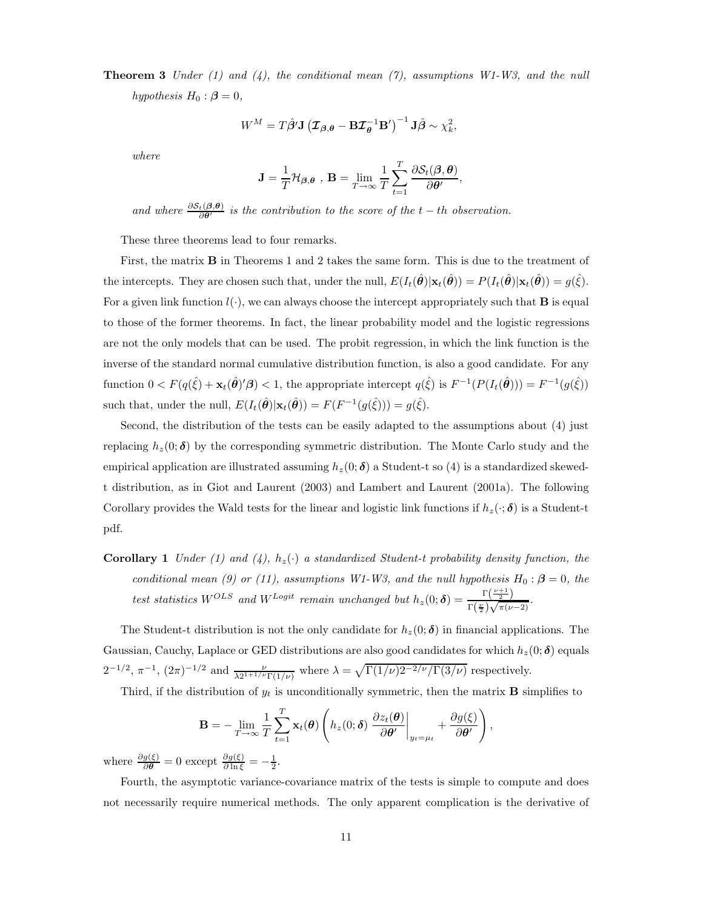**Theorem 3** Under (1) and (4), the conditional mean (7), assumptions  $W1-W3$ , and the null hypothesis  $H_0$ :  $\beta = 0$ ,

$$
W^{M} = T\hat{\boldsymbol{\beta}}'\mathbf{J} (\boldsymbol{\mathcal{I}}_{\boldsymbol{\beta},\boldsymbol{\theta}} - \mathbf{B}\boldsymbol{\mathcal{I}}_{\boldsymbol{\theta}}^{-1}\mathbf{B}')^{-1}\mathbf{J}\hat{\boldsymbol{\beta}} \sim \chi^{2}_{k},
$$

where

$$
\mathbf{J} = \frac{1}{T} \mathcal{H}_{\boldsymbol{\beta},\boldsymbol{\theta}} , \mathbf{B} = \lim_{T \to \infty} \frac{1}{T} \sum_{t=1}^{T} \frac{\partial \mathcal{S}_t(\boldsymbol{\beta}, \boldsymbol{\theta})}{\partial \boldsymbol{\theta}'} ,
$$

and where  $\frac{\partial S_t(\beta,\theta)}{\partial \theta'}$  is the contribution to the score of the t – th observation.

These three theorems lead to four remarks.

First, the matrix B in Theorems 1 and 2 takes the same form. This is due to the treatment of the intercepts. They are chosen such that, under the null,  $E(I_t(\hat{\theta})|\mathbf{x}_t(\hat{\theta})) = P(I_t(\hat{\theta})|\mathbf{x}_t(\hat{\theta})) = g(\hat{\xi})$ . For a given link function  $l(\cdot)$ , we can always choose the intercept appropriately such that **B** is equal to those of the former theorems. In fact, the linear probability model and the logistic regressions are not the only models that can be used. The probit regression, in which the link function is the inverse of the standard normal cumulative distribution function, is also a good candidate. For any function  $0 < F(q(\hat{\xi}) + \mathbf{x}_t(\hat{\theta})' \beta) < 1$ , the appropriate intercept  $q(\hat{\xi})$  is  $F^{-1}(P(I_t(\hat{\theta}))) = F^{-1}(g(\hat{\xi}))$ such that, under the null,  $E(I_t(\hat{\theta})|\mathbf{x}_t(\hat{\theta})) = F(F^{-1}(g(\hat{\xi}))) = g(\hat{\xi}).$ 

Second, the distribution of the tests can be easily adapted to the assumptions about (4) just replacing  $h_z(0; \delta)$  by the corresponding symmetric distribution. The Monte Carlo study and the empirical application are illustrated assuming  $h_z(0; \delta)$  a Student-t so (4) is a standardized skewedt distribution, as in Giot and Laurent (2003) and Lambert and Laurent (2001a). The following Corollary provides the Wald tests for the linear and logistic link functions if  $h_z(\cdot;\boldsymbol{\delta})$  is a Student-t pdf.

**Corollary 1** Under (1) and (4),  $h_z(\cdot)$  a standardized Student-t probability density function, the conditional mean (9) or (11), assumptions W1-W3, and the null hypothesis  $H_0: \beta = 0$ , the test statistics  $W^{OLS}$  and  $W^{Logit}$  remain unchanged but  $h_z(0;\boldsymbol{\delta}) = \frac{\Gamma(\frac{\nu+1}{2})}{\Gamma(\nu)}$  $\frac{1}{\Gamma(\frac{\nu}{2})\sqrt{\pi(\nu-2)}}$ .

The Student-t distribution is not the only candidate for  $h_z(0;\delta)$  in financial applications. The Gaussian, Cauchy, Laplace or GED distributions are also good candidates for which  $h_z(0; \delta)$  equals  $2^{-1/2}$ ,  $\pi^{-1}$ ,  $(2\pi)^{-1/2}$  and  $\frac{\nu}{\lambda 2^{1+1/\nu} \Gamma(1/\nu)}$  where  $\lambda = \sqrt{\Gamma(1/\nu)} 2^{-2/\nu} / \Gamma(3/\nu)$  respectively.

Third, if the distribution of  $y_t$  is unconditionally symmetric, then the matrix **B** simplifies to

$$
\mathbf{B} = -\lim_{T \to \infty} \frac{1}{T} \sum_{t=1}^{T} \mathbf{x}_t(\boldsymbol{\theta}) \left( h_z(0; \boldsymbol{\delta}) \left. \frac{\partial z_t(\boldsymbol{\theta})}{\partial \boldsymbol{\theta}'} \right|_{y_t = \mu_t} + \frac{\partial g(\xi)}{\partial \boldsymbol{\theta}'} \right),
$$

where  $\frac{\partial g(\xi)}{\partial \theta} = 0$  except  $\frac{\partial g(\xi)}{\partial \ln \xi} = -\frac{1}{2}$ .

Fourth, the asymptotic variance-covariance matrix of the tests is simple to compute and does not necessarily require numerical methods. The only apparent complication is the derivative of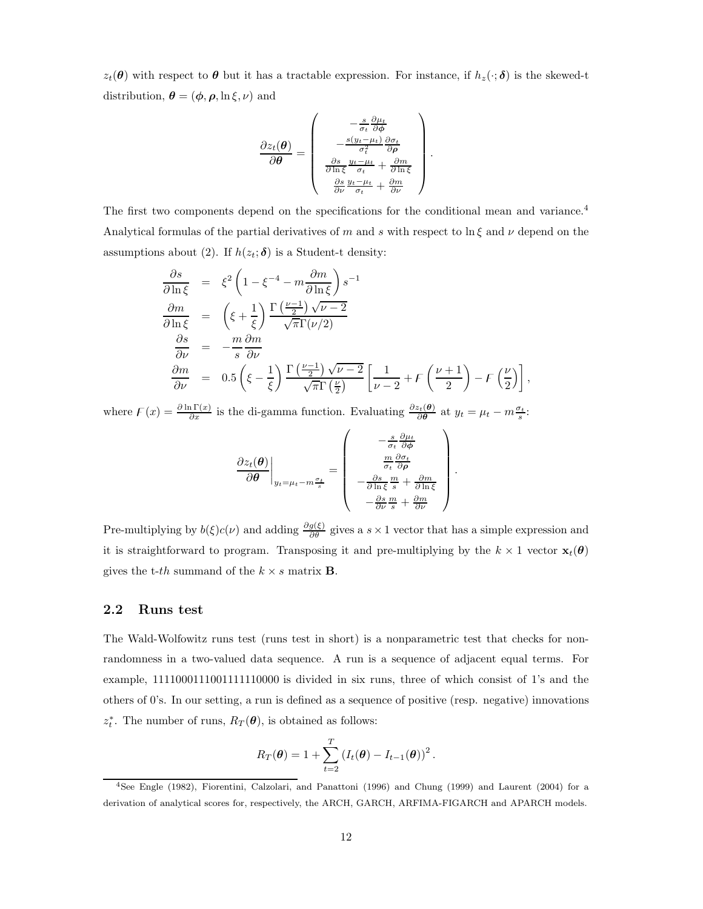$z_t(\theta)$  with respect to  $\theta$  but it has a tractable expression. For instance, if  $h_z(\cdot;\delta)$  is the skewed-t distribution,  $\boldsymbol{\theta} = (\boldsymbol{\phi}, \boldsymbol{\rho}, \ln \xi, \nu)$  and

$$
\frac{\partial z_t(\boldsymbol{\theta})}{\partial \boldsymbol{\theta}} = \begin{pmatrix} -\frac{s}{\sigma_t} \frac{\partial \mu_t}{\partial \phi} \\ -\frac{s(y_t - \mu_t)}{\sigma_t^2} \frac{\partial \sigma_t}{\partial \rho} \\ \frac{\partial s}{\partial \ln \xi} \frac{y_t - \mu_t}{\sigma_t} + \frac{\partial m}{\partial \ln \xi} \\ \frac{\partial s}{\partial \nu} \frac{y_t - \mu_t}{\sigma_t} + \frac{\partial m}{\partial \nu} \end{pmatrix}.
$$

The first two components depend on the specifications for the conditional mean and variance.<sup>4</sup> Analytical formulas of the partial derivatives of m and s with respect to  $\ln \xi$  and  $\nu$  depend on the assumptions about (2). If  $h(z_t; \delta)$  is a Student-t density:

$$
\frac{\partial s}{\partial \ln \xi} = \xi^2 \left( 1 - \xi^{-4} - m \frac{\partial m}{\partial \ln \xi} \right) s^{-1}
$$
  
\n
$$
\frac{\partial m}{\partial \ln \xi} = \left( \xi + \frac{1}{\xi} \right) \frac{\Gamma \left( \frac{\nu - 1}{2} \right) \sqrt{\nu - 2}}{\sqrt{\pi} \Gamma(\nu/2)}
$$
  
\n
$$
\frac{\partial s}{\partial \nu} = -\frac{m}{s} \frac{\partial m}{\partial \nu}
$$
  
\n
$$
\frac{\partial m}{\partial \nu} = 0.5 \left( \xi - \frac{1}{\xi} \right) \frac{\Gamma \left( \frac{\nu - 1}{2} \right) \sqrt{\nu - 2}}{\sqrt{\pi} \Gamma \left( \frac{\nu}{2} \right)} \left[ \frac{1}{\nu - 2} + F \left( \frac{\nu + 1}{2} \right) - F \left( \frac{\nu}{2} \right) \right]
$$

,

where  $F(x) = \frac{\partial \ln \Gamma(x)}{\partial x}$  is the di-gamma function. Evaluating  $\frac{\partial z_t(\theta)}{\partial \theta}$  at  $y_t = \mu_t - m \frac{\sigma_t}{s}$ .

$$
\frac{\partial z_t(\boldsymbol{\theta})}{\partial \boldsymbol{\theta}}\Big|_{y_t=\mu_t-m\frac{\sigma_t}{s}} = \begin{pmatrix} -\frac{s}{\sigma_t} \frac{\partial \mu_t}{\partial \phi} \\ \frac{m}{\sigma_t} \frac{\partial \sigma_t}{\partial \rho} \\ -\frac{\partial s}{\partial \ln \xi} \frac{m}{s} + \frac{\partial m}{\partial \ln \xi} \\ -\frac{\partial s}{\partial \nu} \frac{m}{s} + \frac{\partial m}{\partial \nu} \end{pmatrix}.
$$

Pre-multiplying by  $b(\xi)c(\nu)$  and adding  $\frac{\partial g(\xi)}{\partial \theta}$  gives a s × 1 vector that has a simple expression and it is straightforward to program. Transposing it and pre-multiplying by the  $k \times 1$  vector  $\mathbf{x}_t(\theta)$ gives the t-th summand of the  $k \times s$  matrix **B**.

#### 2.2 Runs test

The Wald-Wolfowitz runs test (runs test in short) is a nonparametric test that checks for nonrandomness in a two-valued data sequence. A run is a sequence of adjacent equal terms. For example, 1111000111001111110000 is divided in six runs, three of which consist of 1's and the others of 0's. In our setting, a run is defined as a sequence of positive (resp. negative) innovations  $z_t^*$ . The number of runs,  $R_T(\theta)$ , is obtained as follows:

$$
R_T(\boldsymbol{\theta}) = 1 + \sum_{t=2}^T (I_t(\boldsymbol{\theta}) - I_{t-1}(\boldsymbol{\theta}))^2.
$$

<sup>4</sup>See Engle (1982), Fiorentini, Calzolari, and Panattoni (1996) and Chung (1999) and Laurent (2004) for a derivation of analytical scores for, respectively, the ARCH, GARCH, ARFIMA-FIGARCH and APARCH models.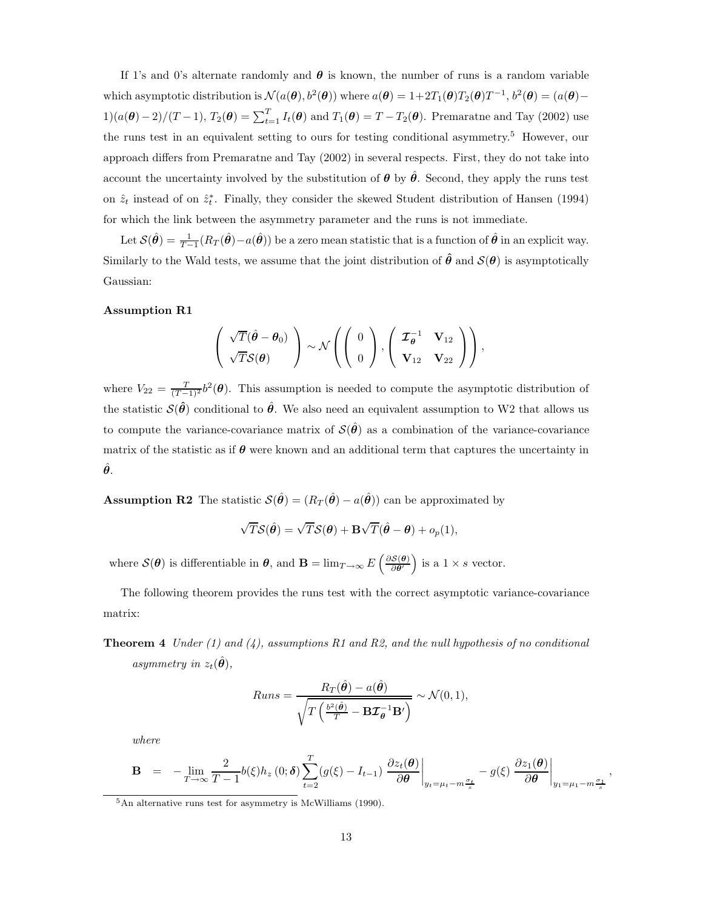If 1's and 0's alternate randomly and  $\theta$  is known, the number of runs is a random variable which asymptotic distribution is  $\mathcal{N}(a(\theta), b^2(\theta))$  where  $a(\theta) = 1 + 2T_1(\theta)T_2(\theta)T^{-1}$ ,  $b^2(\theta) = (a(\theta) 1)(a(\theta)-2)/(T-1)$ ,  $T_2(\theta) = \sum_{t=1}^T I_t(\theta)$  and  $T_1(\theta) = T - T_2(\theta)$ . Premaratne and Tay (2002) use the runs test in an equivalent setting to ours for testing conditional asymmetry.<sup>5</sup> However, our approach differs from Premaratne and Tay (2002) in several respects. First, they do not take into account the uncertainty involved by the substitution of  $\theta$  by  $\hat{\theta}$ . Second, they apply the runs test on  $\hat{z}_t$  instead of on  $\hat{z}_t^*$ . Finally, they consider the skewed Student distribution of Hansen (1994) for which the link between the asymmetry parameter and the runs is not immediate.

Let  $\mathcal{S}(\hat{\theta}) = \frac{1}{T-1}(R_T(\hat{\theta}) - a(\hat{\theta}))$  be a zero mean statistic that is a function of  $\hat{\theta}$  in an explicit way. Similarly to the Wald tests, we assume that the joint distribution of  $\hat{\theta}$  and  $\mathcal{S}(\theta)$  is asymptotically Gaussian:

#### Assumption R1

$$
\left(\begin{array}{c}\sqrt{T}(\hat{\theta}-\theta_0)\\ \sqrt{T}\mathcal{S}(\theta)\end{array}\right)\sim\mathcal{N}\left(\left(\begin{array}{c}0\\0\end{array}\right),\left(\begin{array}{cc}\mathcal{I}_{\theta}^{-1}&\mathbf{V}_{12}\\ \mathbf{V}_{12}&\mathbf{V}_{22}\end{array}\right)\right),\right.
$$

where  $V_{22} = \frac{T}{(T-1)^2} b^2(\theta)$ . This assumption is needed to compute the asymptotic distribution of the statistic  $\mathcal{S}(\hat{\theta})$  conditional to  $\hat{\theta}$ . We also need an equivalent assumption to W2 that allows us to compute the variance-covariance matrix of  $\mathcal{S}(\hat{\theta})$  as a combination of the variance-covariance matrix of the statistic as if  $\theta$  were known and an additional term that captures the uncertainty in  $\hat{\boldsymbol{\theta}}$ .

**Assumption R2** The statistic  $\mathcal{S}(\hat{\theta}) = (R_T(\hat{\theta}) - a(\hat{\theta}))$  can be approximated by

$$
\sqrt{T}\mathcal{S}(\hat{\theta}) = \sqrt{T}\mathcal{S}(\theta) + \mathbf{B}\sqrt{T}(\hat{\theta} - \theta) + o_p(1),
$$

where  $\mathcal{S}(\theta)$  is differentiable in  $\theta$ , and  $\mathbf{B} = \lim_{T \to \infty} E\left(\frac{\partial \mathcal{S}(\theta)}{\partial \theta}\right)$  is a  $1 \times s$  vector.

The following theorem provides the runs test with the correct asymptotic variance-covariance matrix:

**Theorem 4** Under (1) and (4), assumptions R1 and R2, and the null hypothesis of no conditional asymmetry in  $z_t(\hat{\theta})$ ,

$$
Runs = \frac{R_T(\hat{\theta}) - a(\hat{\theta})}{\sqrt{T\left(\frac{b^2(\hat{\theta})}{T} - \mathbf{B}\mathcal{I}_{\theta}^{-1}\mathbf{B}'\right)}} \sim \mathcal{N}(0, 1),
$$

where

$$
\mathbf{B} = -\lim_{T \to \infty} \frac{2}{T-1} b(\xi) h_z(0; \delta) \sum_{t=2}^T (g(\xi) - I_{t-1}) \left. \frac{\partial z_t(\boldsymbol{\theta})}{\partial \boldsymbol{\theta}} \right|_{y_t = \mu_t - m \frac{\sigma_t}{s}} - g(\xi) \left. \frac{\partial z_1(\boldsymbol{\theta})}{\partial \boldsymbol{\theta}} \right|_{y_1 = \mu_t - m \frac{\sigma_t}{s}},
$$

 $5$ An alternative runs test for asymmetry is McWilliams (1990).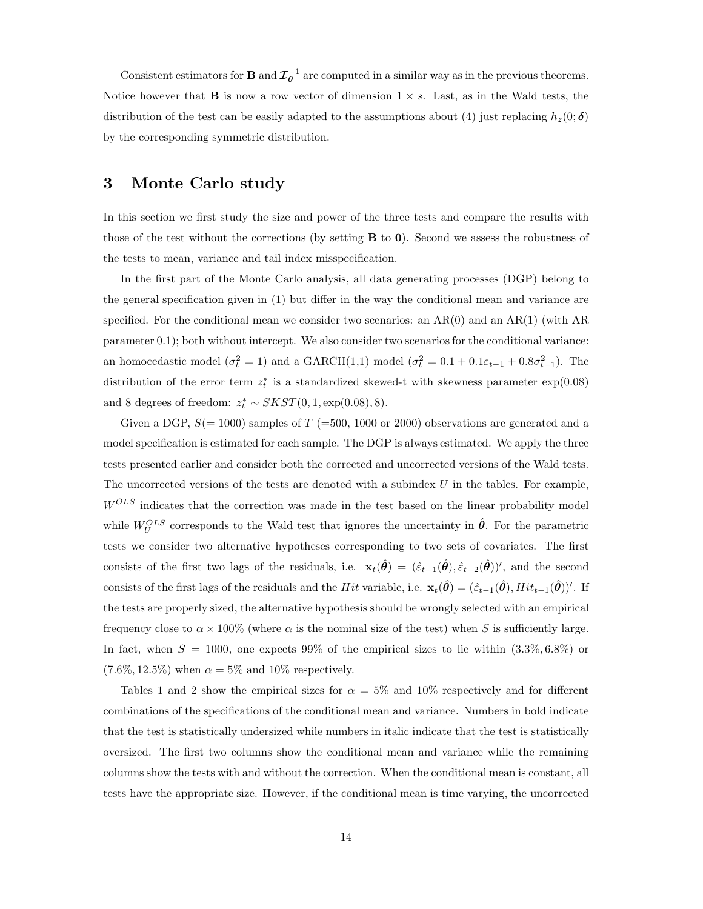Consistent estimators for **B** and  $\mathcal{I}_{\theta}^{-1}$  are computed in a similar way as in the previous theorems. Notice however that **B** is now a row vector of dimension  $1 \times s$ . Last, as in the Wald tests, the distribution of the test can be easily adapted to the assumptions about (4) just replacing  $h_z(0;\delta)$ by the corresponding symmetric distribution.

## 3 Monte Carlo study

In this section we first study the size and power of the three tests and compare the results with those of the test without the corrections (by setting  $B$  to  $0$ ). Second we assess the robustness of the tests to mean, variance and tail index misspecification.

In the first part of the Monte Carlo analysis, all data generating processes (DGP) belong to the general specification given in (1) but differ in the way the conditional mean and variance are specified. For the conditional mean we consider two scenarios: an  $AR(0)$  and an  $AR(1)$  (with AR parameter 0.1); both without intercept. We also consider two scenarios for the conditional variance: an homocedastic model  $(\sigma_t^2 = 1)$  and a GARCH(1,1) model  $(\sigma_t^2 = 0.1 + 0.1\varepsilon_{t-1} + 0.8\sigma_{t-1}^2)$ . The distribution of the error term  $z_t^*$  is a standardized skewed-t with skewness parameter  $\exp(0.08)$ and 8 degrees of freedom:  $z_t^* \sim SKST(0, 1, \exp(0.08), 8)$ .

Given a DGP,  $S(=1000)$  samples of T (=500, 1000 or 2000) observations are generated and a model specification is estimated for each sample. The DGP is always estimated. We apply the three tests presented earlier and consider both the corrected and uncorrected versions of the Wald tests. The uncorrected versions of the tests are denoted with a subindex  $U$  in the tables. For example,  $W^{OLS}$  indicates that the correction was made in the test based on the linear probability model while  $W_U^{OLS}$  corresponds to the Wald test that ignores the uncertainty in  $\hat{\theta}$ . For the parametric tests we consider two alternative hypotheses corresponding to two sets of covariates. The first consists of the first two lags of the residuals, i.e.  $\mathbf{x}_t(\hat{\theta}) = (\hat{\varepsilon}_{t-1}(\hat{\theta}), \hat{\varepsilon}_{t-2}(\hat{\theta}))'$ , and the second consists of the first lags of the residuals and the Hit variable, i.e.  $\mathbf{x}_t(\hat{\theta}) = (\hat{\varepsilon}_{t-1}(\hat{\theta}), Hit_{t-1}(\hat{\theta}))'$ . If the tests are properly sized, the alternative hypothesis should be wrongly selected with an empirical frequency close to  $\alpha \times 100\%$  (where  $\alpha$  is the nominal size of the test) when S is sufficiently large. In fact, when  $S = 1000$ , one expects 99% of the empirical sizes to lie within  $(3.3\%, 6.8\%)$  or  $(7.6\%, 12.5\%)$  when  $\alpha = 5\%$  and 10% respectively.

Tables 1 and 2 show the empirical sizes for  $\alpha = 5\%$  and 10% respectively and for different combinations of the specifications of the conditional mean and variance. Numbers in bold indicate that the test is statistically undersized while numbers in italic indicate that the test is statistically oversized. The first two columns show the conditional mean and variance while the remaining columns show the tests with and without the correction. When the conditional mean is constant, all tests have the appropriate size. However, if the conditional mean is time varying, the uncorrected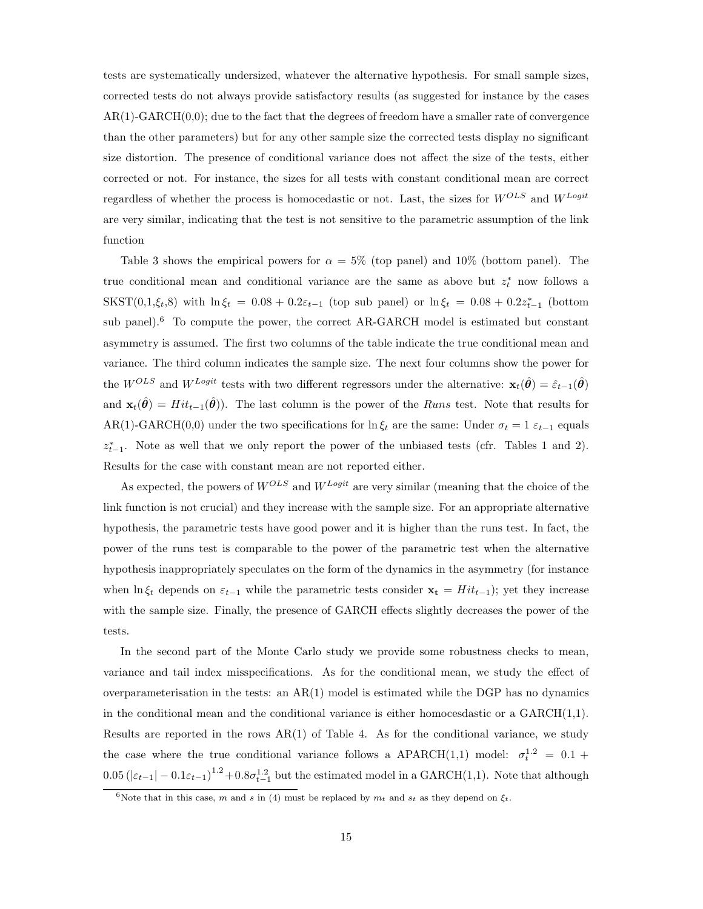tests are systematically undersized, whatever the alternative hypothesis. For small sample sizes, corrected tests do not always provide satisfactory results (as suggested for instance by the cases  $AR(1)-GARCH(0,0);$  due to the fact that the degrees of freedom have a smaller rate of convergence than the other parameters) but for any other sample size the corrected tests display no significant size distortion. The presence of conditional variance does not affect the size of the tests, either corrected or not. For instance, the sizes for all tests with constant conditional mean are correct regardless of whether the process is homocedastic or not. Last, the sizes for  $W^{OLS}$  and  $W^{Logit}$ are very similar, indicating that the test is not sensitive to the parametric assumption of the link function

Table 3 shows the empirical powers for  $\alpha = 5\%$  (top panel) and 10% (bottom panel). The true conditional mean and conditional variance are the same as above but  $z_t^*$  now follows a  $SKST(0,1,\xi_t,8)$  with  $\ln \xi_t = 0.08 + 0.2\varepsilon_{t-1}$  (top sub panel) or  $\ln \xi_t = 0.08 + 0.2\varepsilon_{t-1}^*$  (bottom sub panel).<sup>6</sup> To compute the power, the correct AR-GARCH model is estimated but constant asymmetry is assumed. The first two columns of the table indicate the true conditional mean and variance. The third column indicates the sample size. The next four columns show the power for the W<sup>OLS</sup> and W<sup>Logit</sup> tests with two different regressors under the alternative:  $\mathbf{x}_t(\hat{\boldsymbol{\theta}}) = \hat{\varepsilon}_{t-1}(\boldsymbol{\theta})$ and  $\mathbf{x}_t(\hat{\theta}) = Hit_{t-1}(\hat{\theta})$ . The last column is the power of the *Runs* test. Note that results for AR(1)-GARCH(0,0) under the two specifications for ln  $\xi_t$  are the same: Under  $\sigma_t = 1 \varepsilon_{t-1}$  equals  $z_{t-1}^*$ . Note as well that we only report the power of the unbiased tests (cfr. Tables 1 and 2). Results for the case with constant mean are not reported either.

As expected, the powers of  $W^{OLS}$  and  $W^{Logit}$  are very similar (meaning that the choice of the link function is not crucial) and they increase with the sample size. For an appropriate alternative hypothesis, the parametric tests have good power and it is higher than the runs test. In fact, the power of the runs test is comparable to the power of the parametric test when the alternative hypothesis inappropriately speculates on the form of the dynamics in the asymmetry (for instance when ln  $\xi_t$  depends on  $\varepsilon_{t-1}$  while the parametric tests consider  $\mathbf{x_t} = Hit_{t-1}$ ; yet they increase with the sample size. Finally, the presence of GARCH effects slightly decreases the power of the tests.

In the second part of the Monte Carlo study we provide some robustness checks to mean, variance and tail index misspecifications. As for the conditional mean, we study the effect of overparameterisation in the tests: an  $AR(1)$  model is estimated while the DGP has no dynamics in the conditional mean and the conditional variance is either homocesdastic or a GARCH(1,1). Results are reported in the rows  $AR(1)$  of Table 4. As for the conditional variance, we study the case where the true conditional variance follows a APARCH(1,1) model:  $\sigma_t^{1.2} = 0.1 +$  $0.05 \left(|\varepsilon_{t-1}| - 0.1 \varepsilon_{t-1}\right)^{1.2} + 0.8 \sigma_{t-1}^{1.2}$  but the estimated model in a GARCH(1,1). Note that although

<sup>&</sup>lt;sup>6</sup>Note that in this case, m and s in (4) must be replaced by  $m_t$  and  $s_t$  as they depend on  $\xi_t$ .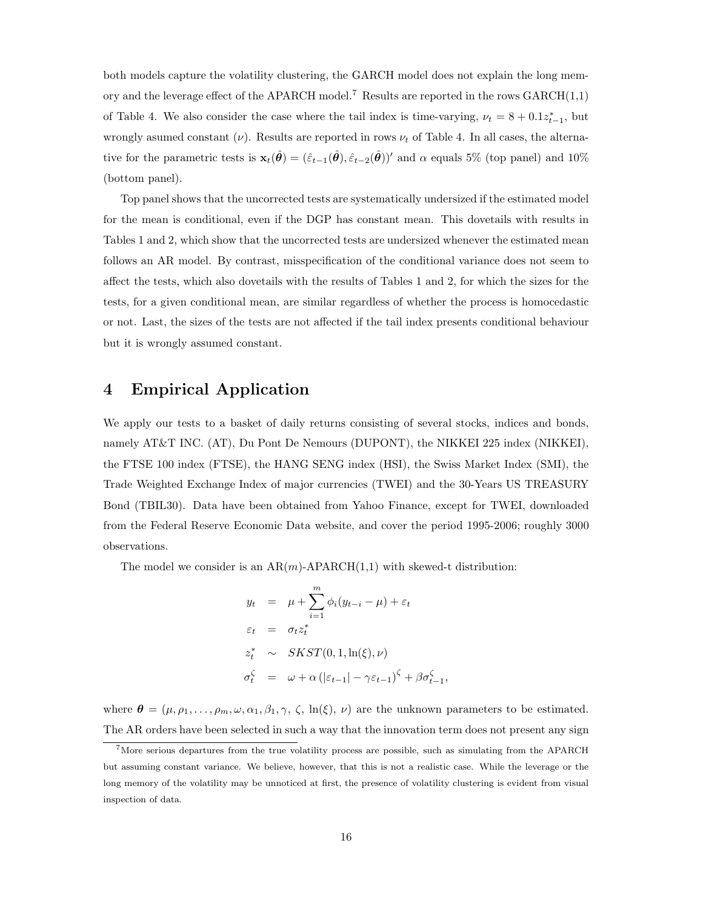both models capture the volatility clustering, the GARCH model does not explain the long memory and the leverage effect of the APARCH model.<sup>7</sup> Results are reported in the rows  $GARCH(1,1)$ of Table 4. We also consider the case where the tail index is time-varying,  $\nu_t = 8 + 0.1z_{t-1}^*$ , but wrongly asumed constant  $(\nu)$ . Results are reported in rows  $\nu_t$  of Table 4. In all cases, the alternative for the parametric tests is  $\mathbf{x}_t(\hat{\theta}) = (\hat{\varepsilon}_{t-1}(\hat{\theta}), \hat{\varepsilon}_{t-2}(\hat{\theta}))'$  and  $\alpha$  equals 5% (top panel) and 10% (bottom panel).

Top panel shows that the uncorrected tests are systematically undersized if the estimated model for the mean is conditional, even if the DGP has constant mean. This dovetails with results in Tables 1 and 2, which show that the uncorrected tests are undersized whenever the estimated mean follows an AR model. By contrast, misspecification of the conditional variance does not seem to affect the tests, which also dovetails with the results of Tables 1 and 2, for which the sizes for the tests, for a given conditional mean, are similar regardless of whether the process is homocedastic or not. Last, the sizes of the tests are not affected if the tail index presents conditional behaviour but it is wrongly assumed constant.

## 4 Empirical Application

We apply our tests to a basket of daily returns consisting of several stocks, indices and bonds, namely AT&T INC. (AT), Du Pont De Nemours (DUPONT), the NIKKEI 225 index (NIKKEI), the FTSE 100 index (FTSE), the HANG SENG index (HSI), the Swiss Market Index (SMI), the Trade Weighted Exchange Index of major currencies (TWEI) and the 30-Years US TREASURY Bond (TBIL30). Data have been obtained from Yahoo Finance, except for TWEI, downloaded from the Federal Reserve Economic Data website, and cover the period 1995-2006; roughly 3000 observations.

The model we consider is an  $AR(m)$ -APARCH $(1,1)$  with skewed-t distribution:

$$
y_t = \mu + \sum_{i=1}^m \phi_i (y_{t-i} - \mu) + \varepsilon_t
$$
  
\n
$$
\varepsilon_t = \sigma_t z_t^*
$$
  
\n
$$
z_t^* \sim SKST(0, 1, \ln(\xi), \nu)
$$
  
\n
$$
\sigma_t^{\zeta} = \omega + \alpha (|\varepsilon_{t-1}| - \gamma \varepsilon_{t-1})^{\zeta} + \beta \sigma_{t-1}^{\zeta},
$$

where  $\boldsymbol{\theta} = (\mu, \rho_1, \dots, \rho_m, \omega, \alpha_1, \beta_1, \gamma, \zeta, \ln(\xi), \nu)$  are the unknown parameters to be estimated. The AR orders have been selected in such a way that the innovation term does not present any sign

 $7$ More serious departures from the true volatility process are possible, such as simulating from the APARCH but assuming constant variance. We believe, however, that this is not a realistic case. While the leverage or the long memory of the volatility may be unnoticed at first, the presence of volatility clustering is evident from visual inspection of data.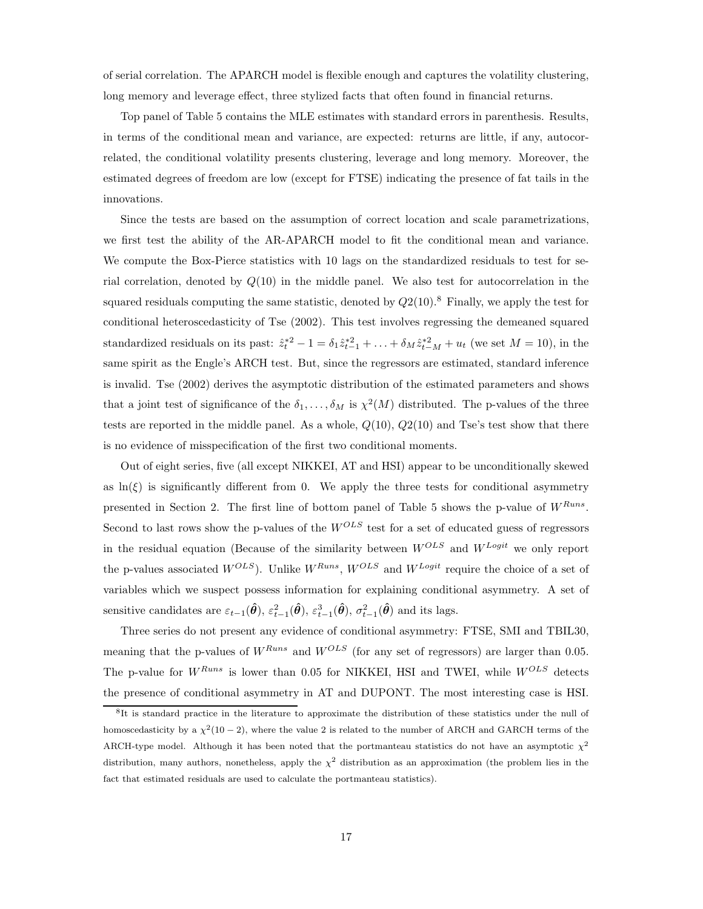of serial correlation. The APARCH model is flexible enough and captures the volatility clustering, long memory and leverage effect, three stylized facts that often found in financial returns.

Top panel of Table 5 contains the MLE estimates with standard errors in parenthesis. Results, in terms of the conditional mean and variance, are expected: returns are little, if any, autocorrelated, the conditional volatility presents clustering, leverage and long memory. Moreover, the estimated degrees of freedom are low (except for FTSE) indicating the presence of fat tails in the innovations.

Since the tests are based on the assumption of correct location and scale parametrizations, we first test the ability of the AR-APARCH model to fit the conditional mean and variance. We compute the Box-Pierce statistics with 10 lags on the standardized residuals to test for serial correlation, denoted by  $Q(10)$  in the middle panel. We also test for autocorrelation in the squared residuals computing the same statistic, denoted by  $Q2(10).8$  Finally, we apply the test for conditional heteroscedasticity of Tse (2002). This test involves regressing the demeaned squared standardized residuals on its past:  $\hat{z}_t^{*2} - 1 = \delta_1 \hat{z}_{t-1}^{*2} + \ldots + \delta_M \hat{z}_{t-M}^{*2} + u_t$  (we set  $M = 10$ ), in the same spirit as the Engle's ARCH test. But, since the regressors are estimated, standard inference is invalid. Tse (2002) derives the asymptotic distribution of the estimated parameters and shows that a joint test of significance of the  $\delta_1, \ldots, \delta_M$  is  $\chi^2(M)$  distributed. The p-values of the three tests are reported in the middle panel. As a whole,  $Q(10)$ ,  $Q2(10)$  and Tse's test show that there is no evidence of misspecification of the first two conditional moments.

Out of eight series, five (all except NIKKEI, AT and HSI) appear to be unconditionally skewed as  $\ln(\xi)$  is significantly different from 0. We apply the three tests for conditional asymmetry presented in Section 2. The first line of bottom panel of Table 5 shows the p-value of  $W^{Runs}$ . Second to last rows show the p-values of the  $W^{OLS}$  test for a set of educated guess of regressors in the residual equation (Because of the similarity between  $W^{OLS}$  and  $W^{Logit}$  we only report the p-values associated  $W^{OLS}$ ). Unlike  $W^{Runs}$ ,  $W^{OLS}$  and  $W^{Logit}$  require the choice of a set of variables which we suspect possess information for explaining conditional asymmetry. A set of sensitive candidates are  $\varepsilon_{t-1}(\hat{\theta}), \varepsilon_{t-1}^2(\hat{\theta}), \varepsilon_{t-1}^3(\hat{\theta}), \sigma_{t-1}^2(\hat{\theta})$  and its lags.

Three series do not present any evidence of conditional asymmetry: FTSE, SMI and TBIL30, meaning that the p-values of  $W^{Runs}$  and  $W^{OLS}$  (for any set of regressors) are larger than 0.05. The p-value for  $W^{Runs}$  is lower than 0.05 for NIKKEI, HSI and TWEI, while  $W^{OLS}$  detects the presence of conditional asymmetry in AT and DUPONT. The most interesting case is HSI.

<sup>8</sup> It is standard practice in the literature to approximate the distribution of these statistics under the null of homoscedasticity by a  $\chi^2(10-2)$ , where the value 2 is related to the number of ARCH and GARCH terms of the ARCH-type model. Although it has been noted that the portmanteau statistics do not have an asymptotic  $\chi^2$ distribution, many authors, nonetheless, apply the  $\chi^2$  distribution as an approximation (the problem lies in the fact that estimated residuals are used to calculate the portmanteau statistics).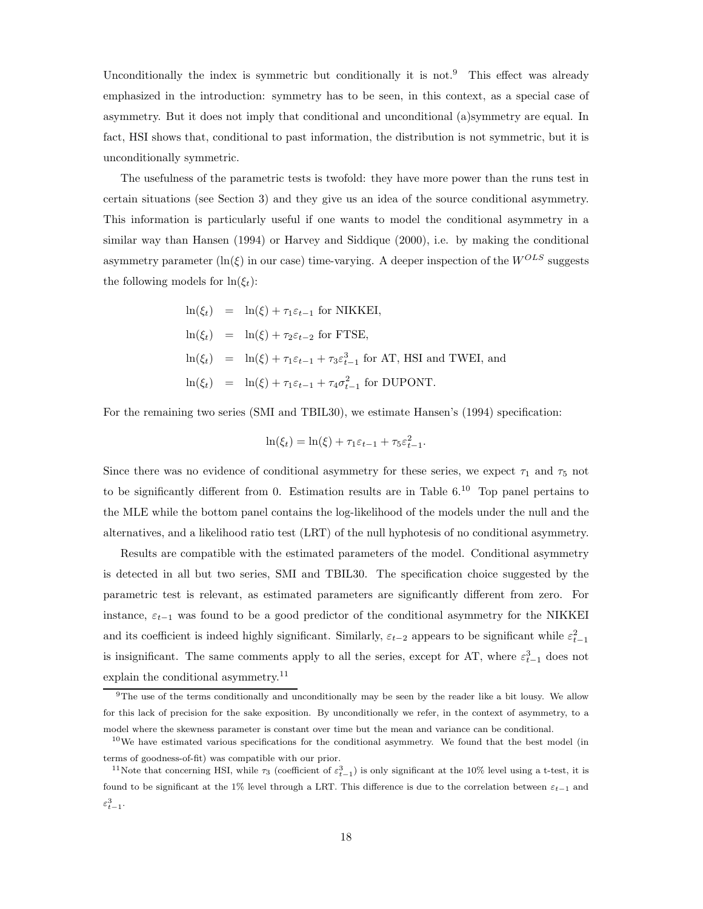Unconditionally the index is symmetric but conditionally it is not.<sup>9</sup> This effect was already emphasized in the introduction: symmetry has to be seen, in this context, as a special case of asymmetry. But it does not imply that conditional and unconditional (a)symmetry are equal. In fact, HSI shows that, conditional to past information, the distribution is not symmetric, but it is unconditionally symmetric.

The usefulness of the parametric tests is twofold: they have more power than the runs test in certain situations (see Section 3) and they give us an idea of the source conditional asymmetry. This information is particularly useful if one wants to model the conditional asymmetry in a similar way than Hansen (1994) or Harvey and Siddique (2000), i.e. by making the conditional asymmetry parameter ( $\ln(\xi)$  in our case) time-varying. A deeper inspection of the  $W^{OLS}$  suggests the following models for  $\ln(\xi_t)$ :

> $\ln(\xi_t) = \ln(\xi) + \tau_1 \varepsilon_{t-1}$  for NIKKEI,  $\ln(\xi_t) = \ln(\xi) + \tau_2 \varepsilon_{t-2}$  for FTSE,  $\ln(\xi_t) = \ln(\xi) + \tau_1 \varepsilon_{t-1} + \tau_3 \varepsilon_{t-1}^3$  for AT, HSI and TWEI, and  $\ln(\xi_t) = \ln(\xi) + \tau_1 \varepsilon_{t-1} + \tau_4 \sigma_{t-1}^2$  for DUPONT.

For the remaining two series (SMI and TBIL30), we estimate Hansen's (1994) specification:

$$
\ln(\xi_t) = \ln(\xi) + \tau_1 \varepsilon_{t-1} + \tau_5 \varepsilon_{t-1}^2.
$$

Since there was no evidence of conditional asymmetry for these series, we expect  $\tau_1$  and  $\tau_5$  not to be significantly different from 0. Estimation results are in Table  $6^{10}$  Top panel pertains to the MLE while the bottom panel contains the log-likelihood of the models under the null and the alternatives, and a likelihood ratio test (LRT) of the null hyphotesis of no conditional asymmetry.

Results are compatible with the estimated parameters of the model. Conditional asymmetry is detected in all but two series, SMI and TBIL30. The specification choice suggested by the parametric test is relevant, as estimated parameters are significantly different from zero. For instance,  $\varepsilon_{t-1}$  was found to be a good predictor of the conditional asymmetry for the NIKKEI and its coefficient is indeed highly significant. Similarly,  $\varepsilon_{t-2}$  appears to be significant while  $\varepsilon_{t-1}^2$ is insignificant. The same comments apply to all the series, except for AT, where  $\varepsilon_{t-1}^3$  does not explain the conditional asymmetry.<sup>11</sup>

 $9$ The use of the terms conditionally and unconditionally may be seen by the reader like a bit lousy. We allow for this lack of precision for the sake exposition. By unconditionally we refer, in the context of asymmetry, to a model where the skewness parameter is constant over time but the mean and variance can be conditional.

 $10$ We have estimated various specifications for the conditional asymmetry. We found that the best model (in terms of goodness-of-fit) was compatible with our prior.

<sup>&</sup>lt;sup>11</sup>Note that concerning HSI, while  $\tau_3$  (coefficient of  $\varepsilon_{t-1}^3$ ) is only significant at the 10% level using a t-test, it is found to be significant at the 1% level through a LRT. This difference is due to the correlation between  $\varepsilon_{t-1}$  and  $\varepsilon_{t-1}^3$ .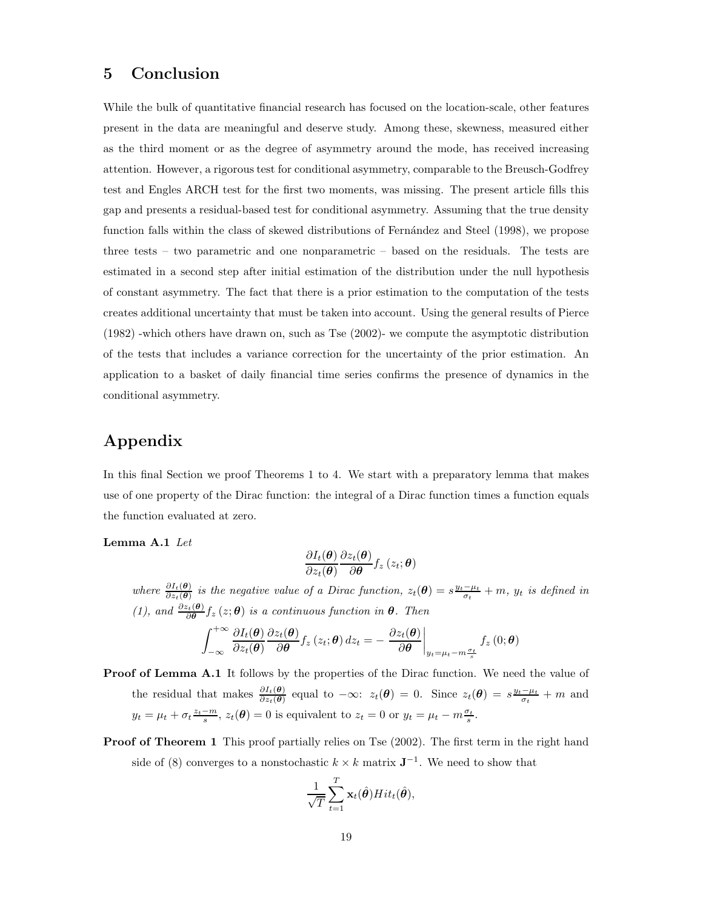## 5 Conclusion

While the bulk of quantitative financial research has focused on the location-scale, other features present in the data are meaningful and deserve study. Among these, skewness, measured either as the third moment or as the degree of asymmetry around the mode, has received increasing attention. However, a rigorous test for conditional asymmetry, comparable to the Breusch-Godfrey test and Engles ARCH test for the first two moments, was missing. The present article fills this gap and presents a residual-based test for conditional asymmetry. Assuming that the true density function falls within the class of skewed distributions of Fernández and Steel (1998), we propose three tests – two parametric and one nonparametric – based on the residuals. The tests are estimated in a second step after initial estimation of the distribution under the null hypothesis of constant asymmetry. The fact that there is a prior estimation to the computation of the tests creates additional uncertainty that must be taken into account. Using the general results of Pierce (1982) -which others have drawn on, such as Tse (2002)- we compute the asymptotic distribution of the tests that includes a variance correction for the uncertainty of the prior estimation. An application to a basket of daily financial time series confirms the presence of dynamics in the conditional asymmetry.

## Appendix

In this final Section we proof Theorems 1 to 4. We start with a preparatory lemma that makes use of one property of the Dirac function: the integral of a Dirac function times a function equals the function evaluated at zero.

Lemma A.1 Let

$$
\frac{\partial I_t(\boldsymbol{\theta})}{\partial z_t(\boldsymbol{\theta})} \frac{\partial z_t(\boldsymbol{\theta})}{\partial \boldsymbol{\theta}} f_z\left(z_t; \boldsymbol{\theta}\right)
$$

where  $\frac{\partial I_t(\theta)}{\partial z_t(\theta)}$  is the negative value of a Dirac function,  $z_t(\theta) = s \frac{y_t - \mu_t}{\sigma_t} + m$ ,  $y_t$  is defined in (1), and  $\frac{\partial z_t(\theta)}{\partial \theta} f_z(z;\theta)$  is a continuous function in  $\theta$ . Then  $\int^{+\infty}$ −∞  $\partial I_t(\bm{\theta})$  $\partial z_t(\boldsymbol{\theta})$  $\partial z_t(\boldsymbol{\theta})$  $\frac{z_t(\boldsymbol{\theta})}{\partial \boldsymbol{\theta}} f_z(z_t; \boldsymbol{\theta}) dz_t = - \frac{\partial z_t(\boldsymbol{\theta})}{\partial \boldsymbol{\theta}}$ ∂θ  $\Big|_{y_t=\mu_t-m\frac{\sigma_t}{s}}$  $f_z\left(0;\boldsymbol{\theta}\right)$ 

**Proof of Lemma A.1** It follows by the properties of the Dirac function. We need the value of the residual that makes  $\frac{\partial I_t(\theta)}{\partial z_t(\theta)}$  equal to  $-\infty$ :  $z_t(\theta) = 0$ . Since  $z_t(\theta) = s \frac{y_t - \mu_t}{\sigma_t} + m$  and  $y_t = \mu_t + \sigma_t \frac{z_t - m}{s}, z_t(\boldsymbol{\theta}) = 0$  is equivalent to  $z_t = 0$  or  $y_t = \mu_t - m \frac{\sigma_t}{s}.$ 

Proof of Theorem 1 This proof partially relies on Tse  $(2002)$ . The first term in the right hand side of (8) converges to a nonstochastic  $k \times k$  matrix  $\mathbf{J}^{-1}$ . We need to show that

$$
\frac{1}{\sqrt{T}}\sum_{t=1}^T \mathbf{x}_t(\hat{\boldsymbol{\theta}}) Hit_t(\hat{\boldsymbol{\theta}}),
$$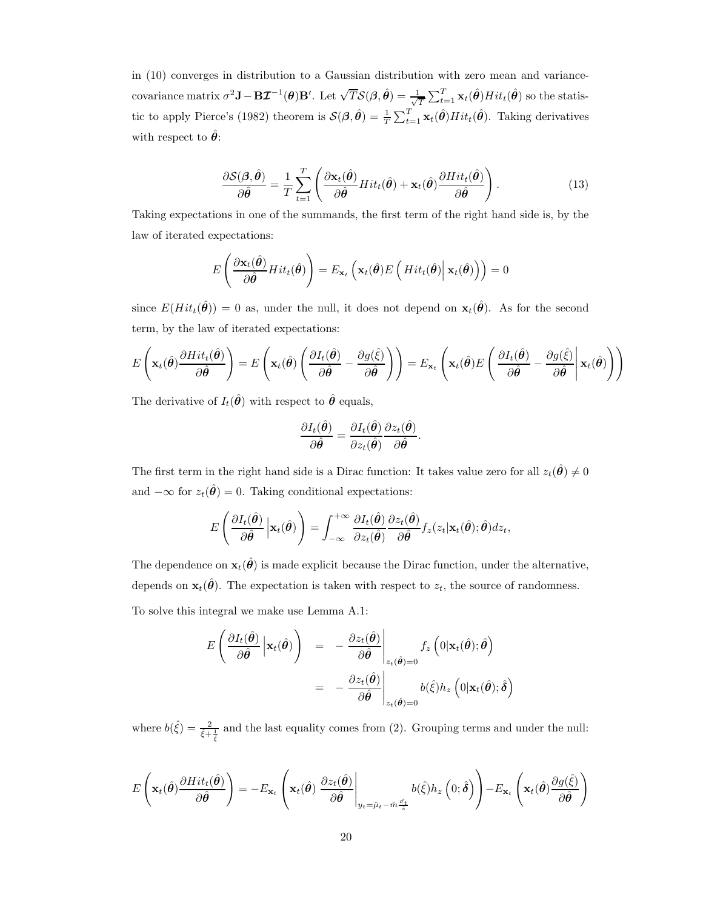in (10) converges in distribution to a Gaussian distribution with zero mean and variancecovariance matrix  $\sigma^2 \mathbf{J} - \mathbf{B} \mathcal{I}^{-1}(\boldsymbol{\theta}) \mathbf{B}'$ . Let  $\sqrt{T} \mathcal{S}(\boldsymbol{\beta}, \hat{\boldsymbol{\theta}}) = \frac{1}{\sqrt{2}}$  $\frac{1}{T}\sum_{t=1}^T \mathbf{x}_t(\hat{\boldsymbol{\theta}}) Hit_t(\hat{\boldsymbol{\theta}})$  so the statistic to apply Pierce's (1982) theorem is  $\mathcal{S}(\beta, \hat{\theta}) = \frac{1}{T} \sum_{t=1}^{T} \mathbf{x}_t(\hat{\theta}) Hit_t(\hat{\theta})$ . Taking derivatives with respect to  $\hat{\theta}$ :

$$
\frac{\partial \mathcal{S}(\boldsymbol{\beta}, \hat{\boldsymbol{\theta}})}{\partial \hat{\boldsymbol{\theta}}} = \frac{1}{T} \sum_{t=1}^{T} \left( \frac{\partial \mathbf{x}_t(\hat{\boldsymbol{\theta}})}{\partial \hat{\boldsymbol{\theta}}} H it_t(\hat{\boldsymbol{\theta}}) + \mathbf{x}_t(\hat{\boldsymbol{\theta}}) \frac{\partial H it_t(\hat{\boldsymbol{\theta}})}{\partial \hat{\boldsymbol{\theta}}} \right).
$$
(13)

Taking expectations in one of the summands, the first term of the right hand side is, by the law of iterated expectations:

$$
E\left(\frac{\partial \mathbf{x}_{t}(\hat{\boldsymbol{\theta}})}{\partial \hat{\boldsymbol{\theta}}}\hat{H}it_{t}(\hat{\boldsymbol{\theta}})\right)=E_{\mathbf{x}_{t}}\left(\mathbf{x}_{t}(\hat{\boldsymbol{\theta}})E\left(\hat{H}it_{t}(\hat{\boldsymbol{\theta}})\big|\mathbf{x}_{t}(\hat{\boldsymbol{\theta}})\right)\right)=0
$$

since  $E(Hit_t(\hat{\theta})) = 0$  as, under the null, it does not depend on  $\mathbf{x}_t(\hat{\theta})$ . As for the second term, by the law of iterated expectations:

$$
E\left(\mathbf{x}_t(\hat{\boldsymbol{\theta}})\frac{\partial Hit_t(\hat{\boldsymbol{\theta}})}{\partial \hat{\boldsymbol{\theta}}}\right) = E\left(\mathbf{x}_t(\hat{\boldsymbol{\theta}})\left(\frac{\partial I_t(\hat{\boldsymbol{\theta}})}{\partial \hat{\boldsymbol{\theta}}}-\frac{\partial g(\hat{\xi})}{\partial \hat{\boldsymbol{\theta}}}\right)\right) = E_{\mathbf{x}_t}\left(\mathbf{x}_t(\hat{\boldsymbol{\theta}})E\left(\frac{\partial I_t(\hat{\boldsymbol{\theta}})}{\partial \hat{\boldsymbol{\theta}}}-\frac{\partial g(\hat{\xi})}{\partial \hat{\boldsymbol{\theta}}}\bigg|\mathbf{x}_t(\hat{\boldsymbol{\theta}})\right)\right)
$$

The derivative of  $I_t(\hat{\theta})$  with respect to  $\hat{\theta}$  equals,

$$
\frac{\partial I_t(\hat{\boldsymbol{\theta}})}{\partial \hat{\boldsymbol{\theta}}} = \frac{\partial I_t(\hat{\boldsymbol{\theta}})}{\partial z_t(\hat{\boldsymbol{\theta}})} \frac{\partial z_t(\hat{\boldsymbol{\theta}})}{\partial \hat{\boldsymbol{\theta}}}.
$$

The first term in the right hand side is a Dirac function: It takes value zero for all  $z_t(\hat{\theta}) \neq 0$ and  $-\infty$  for  $z_t(\hat{\theta}) = 0$ . Taking conditional expectations:

$$
E\left(\frac{\partial I_t(\hat{\boldsymbol{\theta}})}{\partial \hat{\boldsymbol{\theta}}}\Big|\mathbf{x}_t(\hat{\boldsymbol{\theta}})\right)=\int_{-\infty}^{+\infty}\frac{\partial I_t(\hat{\boldsymbol{\theta}})}{\partial z_t(\hat{\boldsymbol{\theta}})}\frac{\partial z_t(\hat{\boldsymbol{\theta}})}{\partial \hat{\boldsymbol{\theta}}}f_z(z_t|\mathbf{x}_t(\hat{\boldsymbol{\theta}});\hat{\boldsymbol{\theta}})dz_t,
$$

The dependence on  $\mathbf{x}_t(\hat{\theta})$  is made explicit because the Dirac function, under the alternative, depends on  $\mathbf{x}_t(\hat{\theta})$ . The expectation is taken with respect to  $z_t$ , the source of randomness.

To solve this integral we make use Lemma A.1:

$$
E\left(\frac{\partial I_t(\hat{\boldsymbol{\theta}})}{\partial \hat{\boldsymbol{\theta}}}\Big|\mathbf{x}_t(\hat{\boldsymbol{\theta}})\right) = -\frac{\partial z_t(\hat{\boldsymbol{\theta}})}{\partial \hat{\boldsymbol{\theta}}}\Big|_{z_t(\hat{\boldsymbol{\theta}})=0} f_z\left(0|\mathbf{x}_t(\hat{\boldsymbol{\theta}}); \hat{\boldsymbol{\theta}}\right)
$$

$$
= -\frac{\partial z_t(\hat{\boldsymbol{\theta}})}{\partial \hat{\boldsymbol{\theta}}}\Big|_{z_t(\hat{\boldsymbol{\theta}})=0} b(\hat{\xi})h_z\left(0|\mathbf{x}_t(\hat{\boldsymbol{\theta}}); \hat{\boldsymbol{\delta}}\right)
$$

where  $b(\hat{\xi}) = \frac{2}{\xi + \frac{1}{\xi}}$  and the last equality comes from (2). Grouping terms and under the null:

$$
E\left(\mathbf{x}_t(\hat{\boldsymbol{\theta}})\frac{\partial Hit_t(\hat{\boldsymbol{\theta}})}{\partial \hat{\boldsymbol{\theta}}}\right) = -E_{\mathbf{x}_t}\left(\mathbf{x}_t(\hat{\boldsymbol{\theta}})\left.\frac{\partial z_t(\hat{\boldsymbol{\theta}})}{\partial \hat{\boldsymbol{\theta}}}\right|_{y_t=\hat{\mu}_t-\hat{m}\frac{\sigma_t}{\hat{s}}}b(\hat{\xi})h_z\left(0;\hat{\boldsymbol{\delta}}\right)\right) - E_{\mathbf{x}_t}\left(\mathbf{x}_t(\hat{\boldsymbol{\theta}})\frac{\partial g(\hat{\xi})}{\partial \hat{\boldsymbol{\theta}}}\right)
$$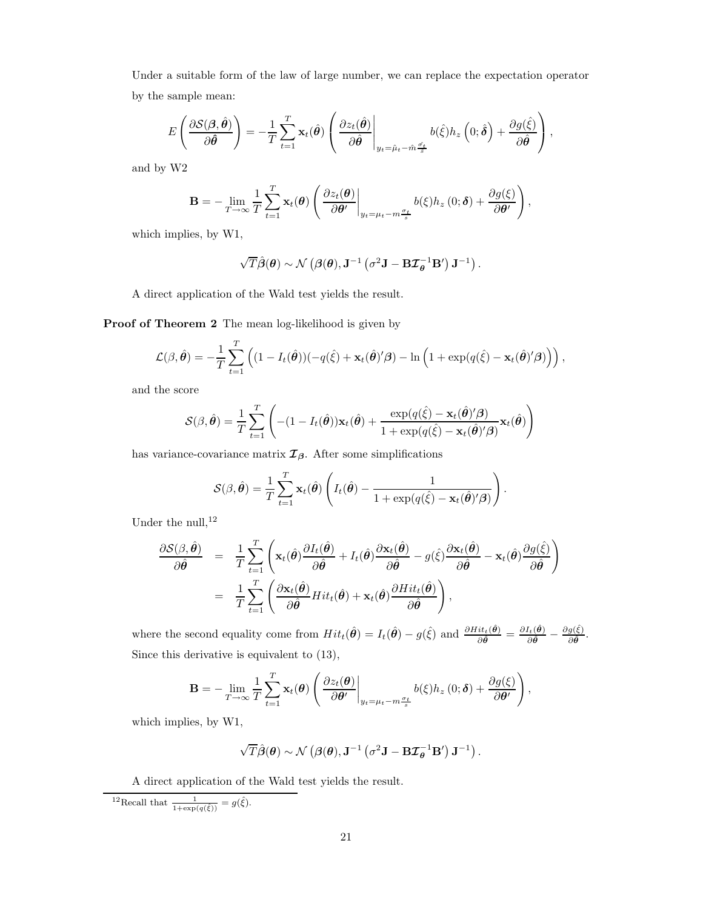Under a suitable form of the law of large number, we can replace the expectation operator by the sample mean:

$$
E\left(\frac{\partial S(\boldsymbol{\beta},\hat{\boldsymbol{\theta}})}{\partial \hat{\boldsymbol{\theta}}}\right)=-\frac{1}{T}\sum_{t=1}^T \mathbf{x}_t(\hat{\boldsymbol{\theta}})\left(\frac{\partial z_t(\hat{\boldsymbol{\theta}})}{\partial \hat{\boldsymbol{\theta}}}\bigg|_{y_t=\hat{\mu}_t-\hat{m}\frac{\hat{\sigma}_t}{\hat{s}}}b(\hat{\xi})h_z\left(0;\hat{\boldsymbol{\delta}}\right)+\frac{\partial g(\hat{\xi})}{\partial \hat{\boldsymbol{\theta}}}\right),
$$

and by W2

$$
\mathbf{B} = -\lim_{T \to \infty} \frac{1}{T} \sum_{t=1}^{T} \mathbf{x}_t(\boldsymbol{\theta}) \left( \frac{\partial z_t(\boldsymbol{\theta})}{\partial \boldsymbol{\theta}'} \bigg|_{y_t = \mu_t - m \frac{\sigma_t}{s}} b(\xi) h_z(0; \boldsymbol{\delta}) + \frac{\partial g(\xi)}{\partial \boldsymbol{\theta}'} \right),
$$

which implies, by W1,

$$
\sqrt{T}\hat{\boldsymbol{\beta}}(\boldsymbol{\theta}) \sim \mathcal{N}\left(\boldsymbol{\beta}(\boldsymbol{\theta}), \mathbf{J}^{-1}\left(\sigma^2\mathbf{J} - \mathbf{B}\mathbf{\mathcal{I}}_{\boldsymbol{\theta}}^{-1}\mathbf{B}'\right)\mathbf{J}^{-1}\right).
$$

A direct application of the Wald test yields the result.

Proof of Theorem 2 The mean log-likelihood is given by

$$
\mathcal{L}(\beta, \hat{\theta}) = -\frac{1}{T} \sum_{t=1}^{T} \left( (1 - I_t(\hat{\theta})) (-q(\hat{\xi}) + \mathbf{x}_t(\hat{\theta})'\beta) - \ln \left( 1 + \exp(q(\hat{\xi}) - \mathbf{x}_t(\hat{\theta})'\beta) \right) \right),
$$

and the score

$$
\mathcal{S}(\beta, \hat{\theta}) = \frac{1}{T} \sum_{t=1}^{T} \left( -(1 - I_t(\hat{\theta})) \mathbf{x}_t(\hat{\theta}) + \frac{\exp(q(\hat{\xi}) - \mathbf{x}_t(\hat{\theta})'\beta)}{1 + \exp(q(\hat{\xi}) - \mathbf{x}_t(\hat{\theta})'\beta)} \mathbf{x}_t(\hat{\theta}) \right)
$$

has variance-covariance matrix  $\mathcal{I}_{\beta}$ . After some simplifications

$$
S(\beta, \hat{\boldsymbol{\theta}}) = \frac{1}{T} \sum_{t=1}^{T} \mathbf{x}_t(\hat{\boldsymbol{\theta}}) \left( I_t(\hat{\boldsymbol{\theta}}) - \frac{1}{1 + \exp(q(\hat{\xi}) - \mathbf{x}_t(\hat{\boldsymbol{\theta}})^\prime \boldsymbol{\beta})} \right)
$$

.

Under the null,  $12$ 

$$
\frac{\partial S(\beta, \hat{\boldsymbol{\theta}})}{\partial \hat{\boldsymbol{\theta}}} = \frac{1}{T} \sum_{t=1}^{T} \left( \mathbf{x}_t(\hat{\boldsymbol{\theta}}) \frac{\partial I_t(\hat{\boldsymbol{\theta}})}{\partial \hat{\boldsymbol{\theta}}} + I_t(\hat{\boldsymbol{\theta}}) \frac{\partial \mathbf{x}_t(\hat{\boldsymbol{\theta}})}{\partial \hat{\boldsymbol{\theta}}} - g(\hat{\boldsymbol{\xi}}) \frac{\partial \mathbf{x}_t(\hat{\boldsymbol{\theta}})}{\partial \hat{\boldsymbol{\theta}}} - \mathbf{x}_t(\hat{\boldsymbol{\theta}}) \frac{\partial g(\hat{\boldsymbol{\xi}})}{\partial \hat{\boldsymbol{\theta}}}\right)
$$

$$
= \frac{1}{T} \sum_{t=1}^{T} \left( \frac{\partial \mathbf{x}_t(\hat{\boldsymbol{\theta}})}{\partial \hat{\boldsymbol{\theta}}} Hit_t(\hat{\boldsymbol{\theta}}) + \mathbf{x}_t(\hat{\boldsymbol{\theta}}) \frac{\partial Hit_t(\hat{\boldsymbol{\theta}})}{\partial \hat{\boldsymbol{\theta}}}\right),
$$

where the second equality come from  $Hit_t(\hat{\theta}) = I_t(\hat{\theta}) - g(\hat{\xi})$  and  $\frac{\partial Hit_t(\hat{\theta})}{\partial \hat{\theta}} = \frac{\partial I_t(\hat{\theta})}{\partial \hat{\theta}} - \frac{\partial g(\hat{\xi})}{\partial \hat{\theta}}$  $\frac{g(\xi)}{\partial \hat{\boldsymbol{\theta}}}$ . Since this derivative is equivalent to (13),

$$
\mathbf{B} = -\lim_{T \to \infty} \frac{1}{T} \sum_{t=1}^{T} \mathbf{x}_t(\boldsymbol{\theta}) \left( \frac{\partial z_t(\boldsymbol{\theta})}{\partial \boldsymbol{\theta}'} \bigg|_{y_t = \mu_t - m \frac{\sigma_t}{s}} b(\xi) h_z(0; \boldsymbol{\delta}) + \frac{\partial g(\xi)}{\partial \boldsymbol{\theta}'} \right),
$$

which implies, by W1,

$$
\sqrt{T}\hat{\boldsymbol{\beta}}(\boldsymbol{\theta}) \sim \mathcal{N}\left(\boldsymbol{\beta}(\boldsymbol{\theta}), \mathbf{J}^{-1}\left(\sigma^2\mathbf{J} - \mathbf{B}\boldsymbol{\mathcal{I}}_{\boldsymbol{\theta}}^{-1}\mathbf{B}'\right)\mathbf{J}^{-1}\right).
$$

A direct application of the Wald test yields the result.

<sup>12</sup>Recall that  $\frac{1}{1+\exp(q(\hat{\xi}))} = g(\hat{\xi}).$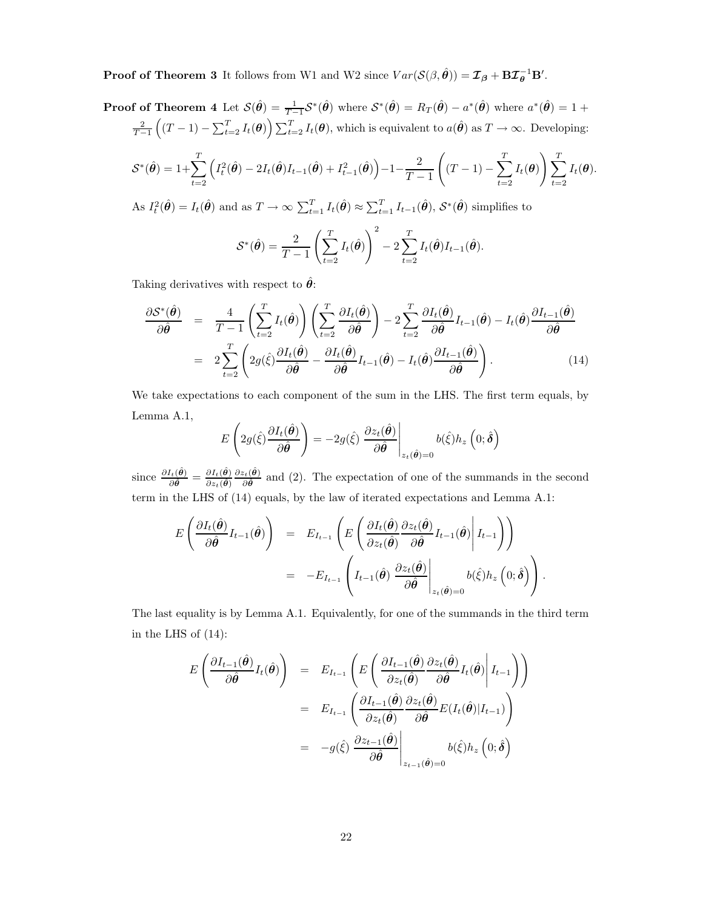**Proof of Theorem 3** It follows from W1 and W2 since  $Var(\mathcal{S}(\beta, \hat{\theta})) = \mathcal{I}_{\beta} + \mathbf{B}\mathcal{I}_{\theta}^{-1}\mathbf{B}'$ .

Proof of Theorem 4 Let 
$$
\mathcal{S}(\hat{\theta}) = \frac{1}{T-1} \mathcal{S}^*(\hat{\theta})
$$
 where  $\mathcal{S}^*(\hat{\theta}) = R_T(\hat{\theta}) - a^*(\hat{\theta})$  where  $a^*(\hat{\theta}) = 1 + \frac{2}{T-1} \left( (T-1) - \sum_{t=2}^T I_t(\theta) \right) \sum_{t=2}^T I_t(\theta)$ , which is equivalent to  $a(\hat{\theta})$  as  $T \to \infty$ . Developing:  $\mathcal{S}^*(\hat{\theta}) = 1 + \sum_{t=1}^T \left( I_t^2(\hat{\theta}) - 2I_t(\hat{\theta})I_{t-1}(\hat{\theta}) + I_{t-1}^2(\hat{\theta}) \right) - 1 - \frac{2}{T-1} \left( (T-1) - \sum_{t=1}^T I_t(\theta) \right) \sum_{t=1}^T I_t(\theta)$ 

 $t=2$  $\left( I_t^2(\hat{\theta}) - 2I_t(\hat{\theta})I_{t-1}(\hat{\theta}) + I_{t-1}^2(\hat{\theta}) \right) - 1 - \frac{2}{T-1}$  $T-1$  $(T - 1) - \sum$  $t=2$  $t=2$  $I_t(\boldsymbol{\theta}).$ 

As  $I_t^2(\hat{\theta}) = I_t(\hat{\theta})$  and as  $T \to \infty$   $\sum_{t=1}^T I_t(\hat{\theta}) \approx \sum_{t=1}^T I_{t-1}(\hat{\theta}), \mathcal{S}^*(\hat{\theta})$  simplifies to

$$
\mathcal{S}^*(\hat{\theta}) = \frac{2}{T-1} \left( \sum_{t=2}^T I_t(\hat{\theta}) \right)^2 - 2 \sum_{t=2}^T I_t(\hat{\theta}) I_{t-1}(\hat{\theta}).
$$

Taking derivatives with respect to  $\hat{\theta}$ :

$$
\frac{\partial \mathcal{S}^*(\hat{\theta})}{\partial \hat{\theta}} = \frac{4}{T-1} \left( \sum_{t=2}^T I_t(\hat{\theta}) \right) \left( \sum_{t=2}^T \frac{\partial I_t(\hat{\theta})}{\partial \hat{\theta}} \right) - 2 \sum_{t=2}^T \frac{\partial I_t(\hat{\theta})}{\partial \hat{\theta}} I_{t-1}(\hat{\theta}) - I_t(\hat{\theta}) \frac{\partial I_{t-1}(\hat{\theta})}{\partial \hat{\theta}} \n= 2 \sum_{t=2}^T \left( 2g(\hat{\xi}) \frac{\partial I_t(\hat{\theta})}{\partial \hat{\theta}} - \frac{\partial I_t(\hat{\theta})}{\partial \hat{\theta}} I_{t-1}(\hat{\theta}) - I_t(\hat{\theta}) \frac{\partial I_{t-1}(\hat{\theta})}{\partial \hat{\theta}} \right).
$$
\n(14)

We take expectations to each component of the sum in the LHS. The first term equals, by Lemma A.1,

$$
E\left(2g(\hat{\xi})\frac{\partial I_t(\hat{\theta})}{\partial \hat{\theta}}\right) = -2g(\hat{\xi})\left.\frac{\partial z_t(\hat{\theta})}{\partial \hat{\theta}}\right|_{z_t(\hat{\theta})=0} b(\hat{\xi})h_z\left(0;\hat{\delta}\right)
$$

since  $\frac{\partial I_t(\hat{\theta})}{\partial \hat{\theta}} = \frac{\partial I_t(\hat{\theta})}{\partial z_t(\hat{\theta})}$  $\partial z_t(\hat{\bm{\theta}})$  $\partial z_t(\hat{\bm{\theta}})$  $\frac{\partial^2 t}{\partial \hat{\theta}}$  and (2). The expectation of one of the summands in the second term in the LHS of (14) equals, by the law of iterated expectations and Lemma A.1:

$$
E\left(\frac{\partial I_t(\hat{\boldsymbol{\theta}})}{\partial \hat{\boldsymbol{\theta}}}I_{t-1}(\hat{\boldsymbol{\theta}})\right) = E_{I_{t-1}}\left(E\left(\frac{\partial I_t(\hat{\boldsymbol{\theta}})}{\partial z_t(\hat{\boldsymbol{\theta}})}\frac{\partial z_t(\hat{\boldsymbol{\theta}})}{\partial \hat{\boldsymbol{\theta}}}I_{t-1}(\hat{\boldsymbol{\theta}})\middle|I_{t-1}\right)\right)
$$
  

$$
= -E_{I_{t-1}}\left(I_{t-1}(\hat{\boldsymbol{\theta}})\left.\frac{\partial z_t(\hat{\boldsymbol{\theta}})}{\partial \hat{\boldsymbol{\theta}}}\middle|_{z_t(\hat{\boldsymbol{\theta}})=0}b(\hat{\xi})h_z\left(0;\hat{\boldsymbol{\delta}}\right)\right).
$$

The last equality is by Lemma A.1. Equivalently, for one of the summands in the third term in the LHS of (14):

$$
E\left(\frac{\partial I_{t-1}(\hat{\theta})}{\partial \hat{\theta}}I_t(\hat{\theta})\right) = E_{I_{t-1}}\left(E\left(\frac{\partial I_{t-1}(\hat{\theta})}{\partial z_t(\hat{\theta})}\frac{\partial z_t(\hat{\theta})}{\partial \hat{\theta}}I_t(\hat{\theta})\middle|I_{t-1}\right)\right)
$$
  

$$
= E_{I_{t-1}}\left(\frac{\partial I_{t-1}(\hat{\theta})}{\partial z_t(\hat{\theta})}\frac{\partial z_t(\hat{\theta})}{\partial \hat{\theta}}E(I_t(\hat{\theta})|I_{t-1})\right)
$$
  

$$
= -g(\hat{\xi})\left.\frac{\partial z_{t-1}(\hat{\theta})}{\partial \hat{\theta}}\middle|_{z_{t-1}(\hat{\theta})=0}b(\hat{\xi})h_z\left(0;\hat{\delta}\right)\right]
$$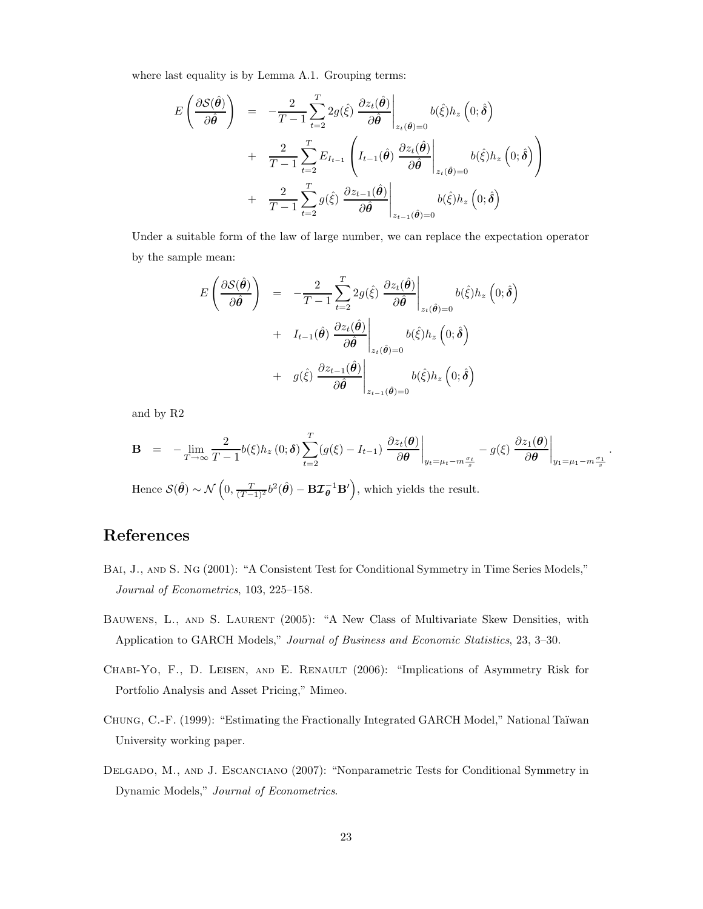where last equality is by Lemma A.1. Grouping terms:

$$
E\left(\frac{\partial S(\hat{\theta})}{\partial \hat{\theta}}\right) = -\frac{2}{T-1} \sum_{t=2}^{T} 2g(\hat{\xi}) \left. \frac{\partial z_t(\hat{\theta})}{\partial \hat{\theta}} \right|_{z_t(\hat{\theta})=0} b(\hat{\xi}) h_z(0; \hat{\delta})
$$
  
+ 
$$
\frac{2}{T-1} \sum_{t=2}^{T} E_{I_{t-1}} \left( I_{t-1}(\hat{\theta}) \left. \frac{\partial z_t(\hat{\theta})}{\partial \hat{\theta}} \right|_{z_t(\hat{\theta})=0} b(\hat{\xi}) h_z(0; \hat{\delta}) \right)
$$
  
+ 
$$
\frac{2}{T-1} \sum_{t=2}^{T} g(\hat{\xi}) \left. \frac{\partial z_{t-1}(\hat{\theta})}{\partial \hat{\theta}} \right|_{z_{t-1}(\hat{\theta})=0} b(\hat{\xi}) h_z(0; \hat{\delta})
$$

Under a suitable form of the law of large number, we can replace the expectation operator by the sample mean:

$$
E\left(\frac{\partial S(\hat{\theta})}{\partial \hat{\theta}}\right) = -\frac{2}{T-1} \sum_{t=2}^{T} 2g(\hat{\xi}) \left. \frac{\partial z_t(\hat{\theta})}{\partial \hat{\theta}} \right|_{z_t(\hat{\theta})=0} b(\hat{\xi}) h_z(0;\hat{\delta})
$$
  
+  $I_{t-1}(\hat{\theta}) \left. \frac{\partial z_t(\hat{\theta})}{\partial \hat{\theta}} \right|_{z_t(\hat{\theta})=0} b(\hat{\xi}) h_z(0;\hat{\delta})$   
+  $g(\hat{\xi}) \left. \frac{\partial z_{t-1}(\hat{\theta})}{\partial \hat{\theta}} \right|_{z_{t-1}(\hat{\theta})=0} b(\hat{\xi}) h_z(0;\hat{\delta})$ 

and by R2

$$
\mathbf{B} = -\lim_{T \to \infty} \frac{2}{T-1} b(\xi) h_z(0; \delta) \sum_{t=2}^T (g(\xi) - I_{t-1}) \left. \frac{\partial z_t(\boldsymbol{\theta})}{\partial \boldsymbol{\theta}} \right|_{y_t = \mu_t - m \frac{\sigma_t}{s}} - g(\xi) \left. \frac{\partial z_1(\boldsymbol{\theta})}{\partial \boldsymbol{\theta}} \right|_{y_1 = \mu_t - m \frac{\sigma_t}{s}}.
$$

Hence  $\mathcal{S}(\hat{\theta}) \sim \mathcal{N}\left(0, \frac{T}{(T-1)^2}b^2(\hat{\theta}) - \mathbf{B}\mathcal{I}_{\theta}^{-1}\mathbf{B}'\right)$ , which yields the result.

## References

- BAI, J., AND S. NG (2001): "A Consistent Test for Conditional Symmetry in Time Series Models," Journal of Econometrics, 103, 225–158.
- Bauwens, L., and S. Laurent (2005): "A New Class of Multivariate Skew Densities, with Application to GARCH Models," Journal of Business and Economic Statistics, 23, 3–30.
- CHABI-YO, F., D. LEISEN, AND E. RENAULT (2006): "Implications of Asymmetry Risk for Portfolio Analysis and Asset Pricing," Mimeo.
- CHUNG, C.-F. (1999): "Estimating the Fractionally Integrated GARCH Model," National Taïwan University working paper.
- DELGADO, M., AND J. ESCANCIANO (2007): "Nonparametric Tests for Conditional Symmetry in Dynamic Models," Journal of Econometrics.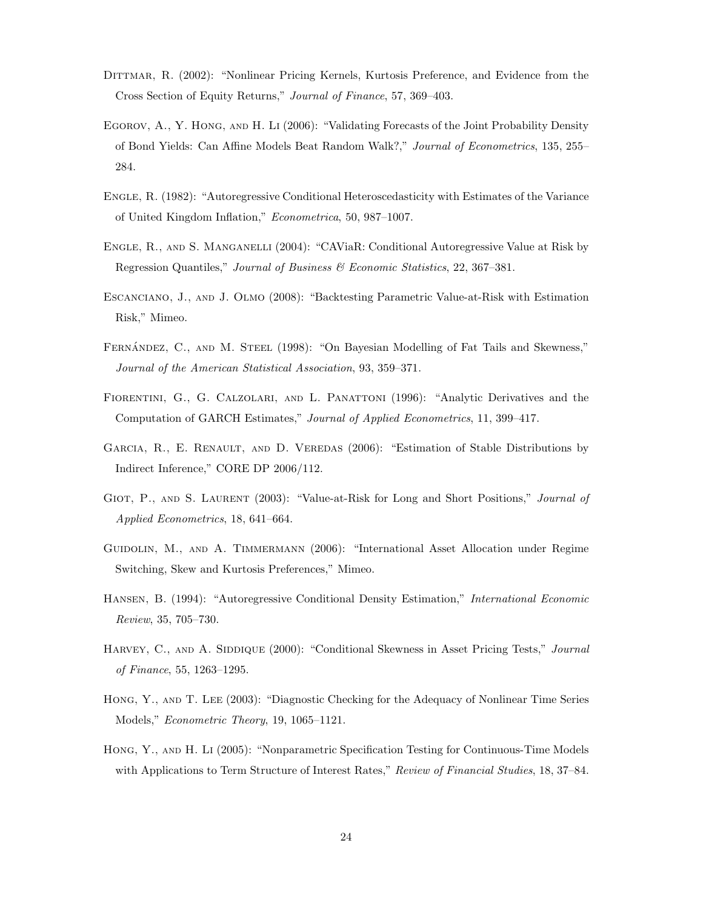- DITTMAR, R. (2002): "Nonlinear Pricing Kernels, Kurtosis Preference, and Evidence from the Cross Section of Equity Returns," Journal of Finance, 57, 369–403.
- Egorov, A., Y. Hong, and H. Li (2006): "Validating Forecasts of the Joint Probability Density of Bond Yields: Can Affine Models Beat Random Walk?," Journal of Econometrics, 135, 255– 284.
- Engle, R. (1982): "Autoregressive Conditional Heteroscedasticity with Estimates of the Variance of United Kingdom Inflation," Econometrica, 50, 987–1007.
- Engle, R., and S. Manganelli (2004): "CAViaR: Conditional Autoregressive Value at Risk by Regression Quantiles," Journal of Business & Economic Statistics, 22, 367–381.
- Escanciano, J., and J. Olmo (2008): "Backtesting Parametric Value-at-Risk with Estimation Risk," Mimeo.
- FERNÁNDEZ, C., AND M. STEEL (1998): "On Bayesian Modelling of Fat Tails and Skewness," Journal of the American Statistical Association, 93, 359–371.
- Fiorentini, G., G. Calzolari, and L. Panattoni (1996): "Analytic Derivatives and the Computation of GARCH Estimates," Journal of Applied Econometrics, 11, 399–417.
- GARCIA, R., E. RENAULT, AND D. VEREDAS (2006): "Estimation of Stable Distributions by Indirect Inference," CORE DP 2006/112.
- GIOT, P., AND S. LAURENT (2003): "Value-at-Risk for Long and Short Positions," Journal of Applied Econometrics, 18, 641–664.
- Guidolin, M., and A. Timmermann (2006): "International Asset Allocation under Regime Switching, Skew and Kurtosis Preferences," Mimeo.
- Hansen, B. (1994): "Autoregressive Conditional Density Estimation," International Economic Review, 35, 705–730.
- HARVEY, C., AND A. SIDDIQUE (2000): "Conditional Skewness in Asset Pricing Tests," Journal of Finance, 55, 1263–1295.
- Hong, Y., and T. Lee (2003): "Diagnostic Checking for the Adequacy of Nonlinear Time Series Models," Econometric Theory, 19, 1065–1121.
- Hong, Y., and H. Li (2005): "Nonparametric Specification Testing for Continuous-Time Models with Applications to Term Structure of Interest Rates," Review of Financial Studies, 18, 37–84.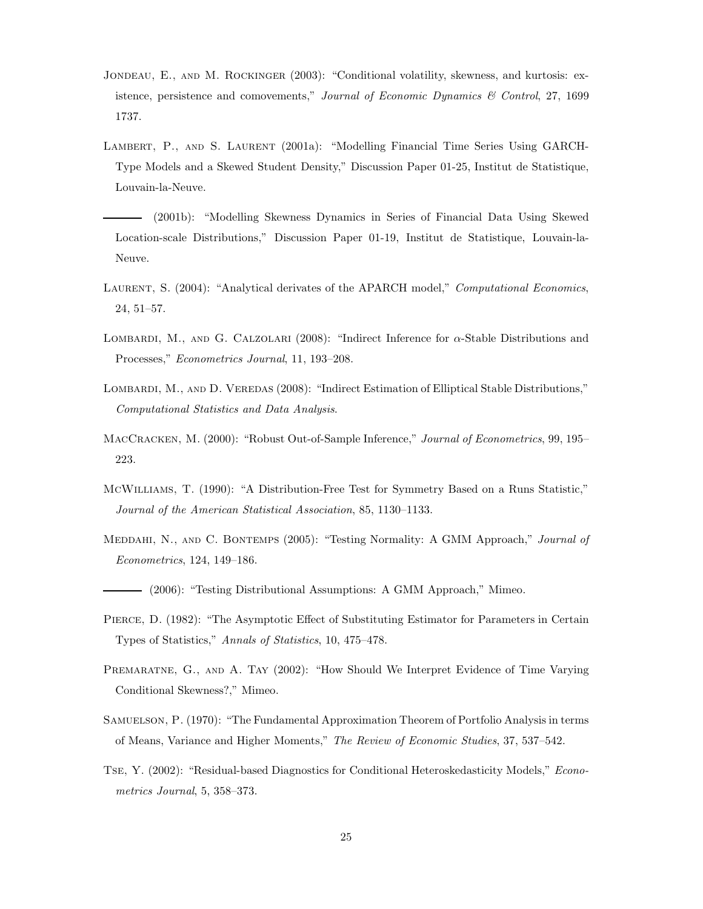- Jondeau, E., and M. Rockinger (2003): "Conditional volatility, skewness, and kurtosis: existence, persistence and comovements," Journal of Economic Dynamics & Control, 27, 1699 1737.
- Lambert, P., and S. Laurent (2001a): "Modelling Financial Time Series Using GARCH-Type Models and a Skewed Student Density," Discussion Paper 01-25, Institut de Statistique, Louvain-la-Neuve.
	- (2001b): "Modelling Skewness Dynamics in Series of Financial Data Using Skewed Location-scale Distributions," Discussion Paper 01-19, Institut de Statistique, Louvain-la-Neuve.
- LAURENT, S. (2004): "Analytical derivates of the APARCH model," Computational Economics, 24, 51–57.
- Lombardi, M., and G. Calzolari (2008): "Indirect Inference for α-Stable Distributions and Processes," Econometrics Journal, 11, 193–208.
- LOMBARDI, M., AND D. VEREDAS (2008): "Indirect Estimation of Elliptical Stable Distributions," Computational Statistics and Data Analysis.
- MACCRACKEN, M. (2000): "Robust Out-of-Sample Inference," Journal of Econometrics, 99, 195– 223.
- McWilliams, T. (1990): "A Distribution-Free Test for Symmetry Based on a Runs Statistic," Journal of the American Statistical Association, 85, 1130–1133.
- MEDDAHI, N., AND C. BONTEMPS (2005): "Testing Normality: A GMM Approach," Journal of Econometrics, 124, 149–186.
- (2006): "Testing Distributional Assumptions: A GMM Approach," Mimeo.
- Pierce, D. (1982): "The Asymptotic Effect of Substituting Estimator for Parameters in Certain Types of Statistics," Annals of Statistics, 10, 475–478.
- PREMARATNE, G., AND A. TAY (2002): "How Should We Interpret Evidence of Time Varying Conditional Skewness?," Mimeo.
- SAMUELSON, P. (1970): "The Fundamental Approximation Theorem of Portfolio Analysis in terms of Means, Variance and Higher Moments," The Review of Economic Studies, 37, 537–542.
- Tse, Y. (2002): "Residual-based Diagnostics for Conditional Heteroskedasticity Models," Econometrics Journal, 5, 358–373.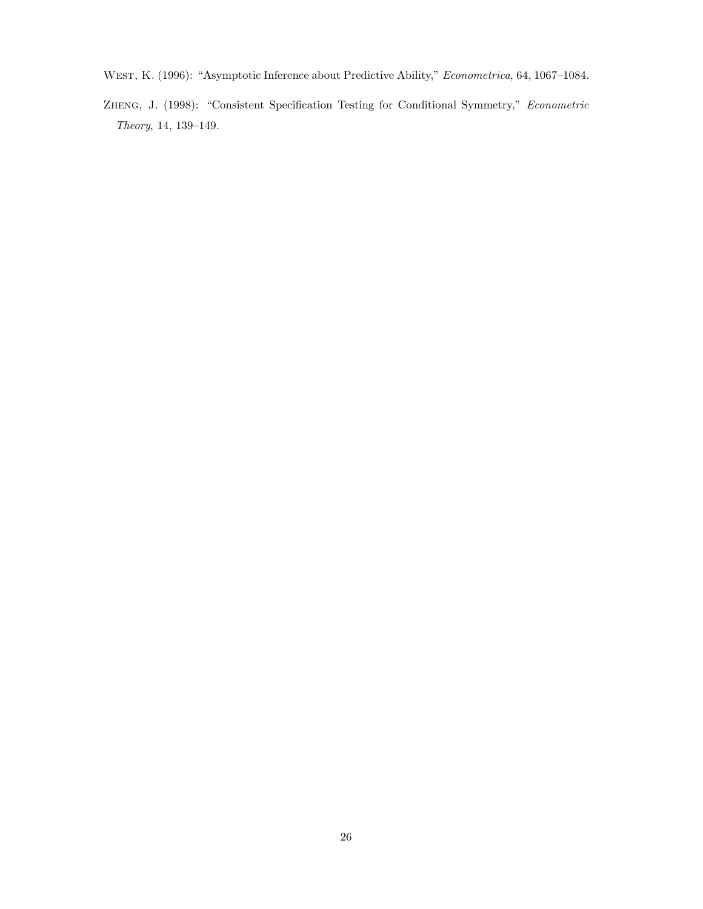- WEST, K. (1996): "Asymptotic Inference about Predictive Ability," Econometrica, 64, 1067-1084.
- Zheng, J. (1998): "Consistent Specification Testing for Conditional Symmetry," Econometric Theory, 14, 139–149.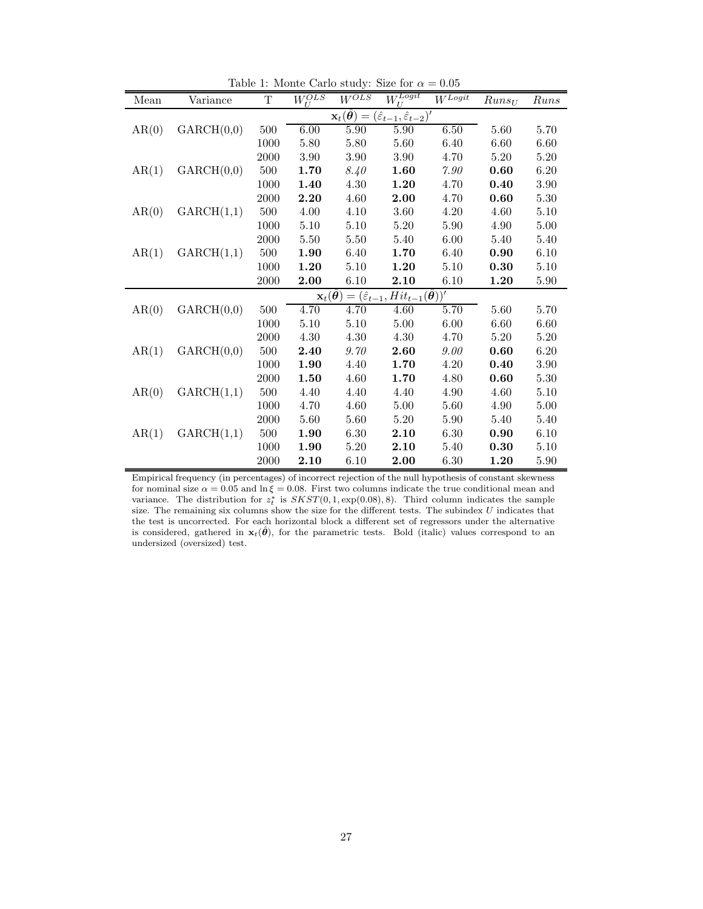| Mean  | Variance   | T                                                                                               | $W_{II}^{OLS}$                      | $W^{OLS}$ | $\bar{W}_U^{Logit}$                                    | $W^{\overline{Logit}}$ | $Runs_U$ | Runs     |  |  |
|-------|------------|-------------------------------------------------------------------------------------------------|-------------------------------------|-----------|--------------------------------------------------------|------------------------|----------|----------|--|--|
|       |            | $\mathbf{x}_t(\hat{\boldsymbol{\theta}}) = (\hat{\varepsilon}_{t-1}, \hat{\varepsilon}_{t-2})'$ |                                     |           |                                                        |                        |          |          |  |  |
| AR(0) | GARCH(0,0) | 500                                                                                             | 6.00                                | 5.90      | 5.90                                                   | 6.50                   | 5.60     | 5.70     |  |  |
|       |            | 1000                                                                                            | 5.80                                | 5.80      | 5.60                                                   | 6.40                   | 6.60     | 6.60     |  |  |
|       |            | $2000\,$                                                                                        | 3.90                                | 3.90      | 3.90                                                   | 4.70                   | 5.20     | 5.20     |  |  |
| AR(1) | GARCH(0,0) | 500                                                                                             | 1.70                                | 8.40      | 1.60                                                   | 7.90                   | 0.60     | 6.20     |  |  |
|       |            | 1000                                                                                            | 1.40                                | 4.30      | 1.20                                                   | 4.70                   | 0.40     | 3.90     |  |  |
|       |            | $2000\,$                                                                                        | 2.20                                | 4.60      | 2.00                                                   | 4.70                   | 0.60     | 5.30     |  |  |
| AR(0) | GARCH(1,1) | 500                                                                                             | 4.00                                | 4.10      | 3.60                                                   | 4.20                   | 4.60     | 5.10     |  |  |
|       |            | 1000                                                                                            | 5.10                                | 5.10      | 5.20                                                   | 5.90                   | 4.90     | 5.00     |  |  |
|       |            | 2000                                                                                            | 5.50                                | 5.50      | 5.40                                                   | 6.00                   | 5.40     | 5.40     |  |  |
| AR(1) | GARCH(1,1) | 500                                                                                             | 1.90                                | 6.40      | 1.70                                                   | $6.40\,$               | 0.90     | 6.10     |  |  |
|       |            | 1000                                                                                            | 1.20                                | 5.10      | 1.20                                                   | 5.10                   | 0.30     | 5.10     |  |  |
|       |            | $2000\,$                                                                                        | 2.00                                | 6.10      | 2.10                                                   | 6.10                   | 1.20     | 5.90     |  |  |
|       |            |                                                                                                 | $\mathbf{x}_t(\boldsymbol{\theta})$ |           | $=(\hat{\varepsilon}_{t-1}, Hit_{t-1}(\hat{\theta}))'$ |                        |          |          |  |  |
| AR(0) | GARCH(0,0) | 500                                                                                             | 4.70                                | 4.70      | 4.60                                                   | 5.70                   | 5.60     | 5.70     |  |  |
|       |            | 1000                                                                                            | 5.10                                | 5.10      | 5.00                                                   | 6.00                   | 6.60     | 6.60     |  |  |
|       |            | 2000                                                                                            | 4.30                                | 4.30      | 4.30                                                   | 4.70                   | 5.20     | 5.20     |  |  |
| AR(1) | GARCH(0,0) | 500                                                                                             | 2.40                                | 9.70      | 2.60                                                   | 9.00                   | 0.60     | 6.20     |  |  |
|       |            | 1000                                                                                            | 1.90                                | 4.40      | 1.70                                                   | 4.20                   | 0.40     | 3.90     |  |  |
|       |            | 2000                                                                                            | 1.50                                | 4.60      | 1.70                                                   | 4.80                   | 0.60     | 5.30     |  |  |
| AR(0) | GARCH(1,1) | 500                                                                                             | 4.40                                | 4.40      | 4.40                                                   | 4.90                   | 4.60     | $5.10\,$ |  |  |
|       |            | 1000                                                                                            | 4.70                                | 4.60      | 5.00                                                   | 5.60                   | 4.90     | 5.00     |  |  |
|       |            | 2000                                                                                            | 5.60                                | 5.60      | 5.20                                                   | 5.90                   | 5.40     | 5.40     |  |  |
| AR(1) | GARCH(1,1) | 500                                                                                             | 1.90                                | 6.30      | 2.10                                                   | $6.30\,$               | 0.90     | 6.10     |  |  |
|       |            | 1000                                                                                            | 1.90                                | 5.20      | 2.10                                                   | 5.40                   | 0.30     | 5.10     |  |  |
|       |            | 2000                                                                                            | 2.10                                | 6.10      | 2.00                                                   | 6.30                   | 1.20     | 5.90     |  |  |

Table 1: Monte Carlo study: Size for  $\alpha = 0.05$ 

Empirical frequency (in percentages) of incorrect rejection of the null hypothesis of constant skewness for nominal size  $\alpha = 0.05$  and  $\ln \xi = 0.08$ . First two columns indicate the true conditional mean and variance. The distribution for  $z_t^*$  is  $SKST(0, 1, \exp(0.08), 8)$ . Third column indicates the sample size. The remaining six columns show the size for the different tests. The subindex  $U$  indicates that the test is uncorrected. For each horizontal block a different set of regressors under the alternative is considered, gathered in  $\mathbf{x}_t(\hat{\theta})$ , for the parametric tests. Bold (italic) values correspond to an undersized (oversized) test.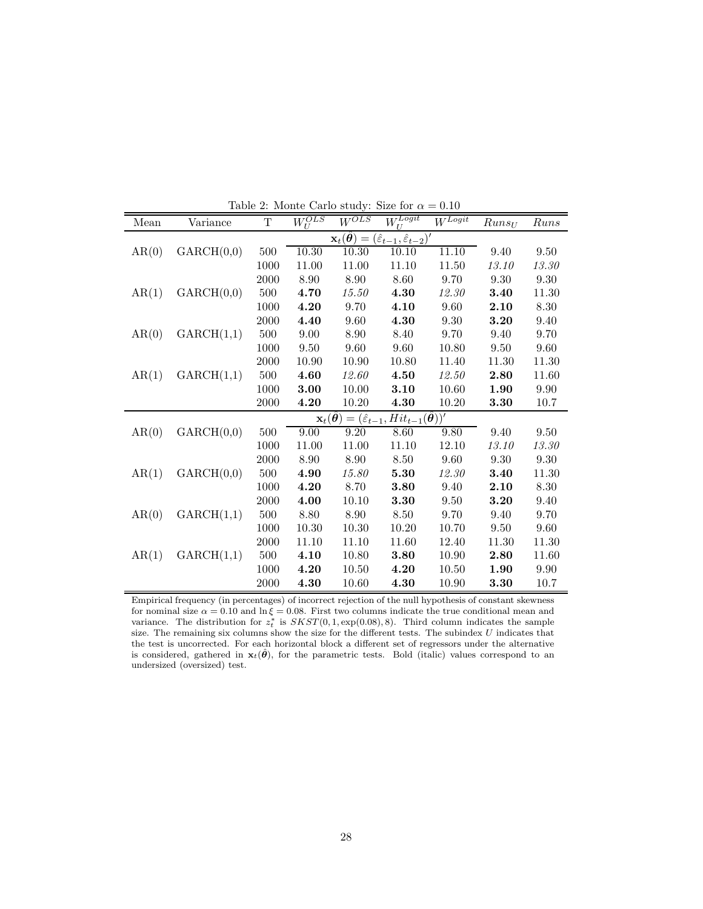| Mean  | Variance   | T    | $\overline{W_{II}^{OLS}}$ | $W^{OLS}$ | $\widehat{W_U^{Logit}}$                                                                                | $W^{{\overline{Logit}}}$ | $Runs_U$  | Runs  |
|-------|------------|------|---------------------------|-----------|--------------------------------------------------------------------------------------------------------|--------------------------|-----------|-------|
|       |            |      |                           |           | $\mathbf{x}_t(\hat{\boldsymbol{\theta}}) = (\hat{\varepsilon}_{t-1}, \hat{\varepsilon}_{t-2})'$        |                          |           |       |
| AR(0) | GARCH(0,0) | 500  | 10.30                     | 10.30     | 10.10                                                                                                  | 11.10                    | 9.40      | 9.50  |
|       |            | 1000 | 11.00                     | 11.00     | 11.10                                                                                                  | 11.50                    | 13.10     | 13.30 |
|       |            | 2000 | 8.90                      | 8.90      | 8.60                                                                                                   | 9.70                     | 9.30      | 9.30  |
| AR(1) | GARCH(0,0) | 500  | 4.70                      | 15.50     | 4.30                                                                                                   | 12.30                    | 3.40      | 11.30 |
|       |            | 1000 | 4.20                      | 9.70      | 4.10                                                                                                   | 9.60                     | 2.10      | 8.30  |
|       |            | 2000 | 4.40                      | 9.60      | 4.30                                                                                                   | 9.30                     | 3.20      | 9.40  |
| AR(0) | GARCH(1,1) | 500  | 9.00                      | 8.90      | 8.40                                                                                                   | 9.70                     | 9.40      | 9.70  |
|       |            | 1000 | 9.50                      | 9.60      | 9.60                                                                                                   | 10.80                    | 9.50      | 9.60  |
|       |            | 2000 | 10.90                     | 10.90     | 10.80                                                                                                  | 11.40                    | 11.30     | 11.30 |
| AR(1) | GARCH(1,1) | 500  | 4.60                      | 12.60     | 4.50                                                                                                   | 12.50                    | 2.80      | 11.60 |
|       |            | 1000 | 3.00                      | 10.00     | 3.10                                                                                                   | 10.60                    | 1.90      | 9.90  |
|       |            | 2000 | 4.20                      | 10.20     | 4.30                                                                                                   | 10.20                    | 3.30      | 10.7  |
|       |            |      |                           |           | $\mathbf{x}_t(\boldsymbol{\theta}) = (\hat{\varepsilon}_{t-1}, Hit_{t-1}(\hat{\boldsymbol{\theta}}))'$ |                          |           |       |
| AR(0) | GARCH(0,0) | 500  | 9.00                      | 9.20      | 8.60                                                                                                   | 9.80                     | 9.40      | 9.50  |
|       |            | 1000 | 11.00                     | 11.00     | 11.10                                                                                                  | 12.10                    | 13.10     | 13.30 |
|       |            | 2000 | 8.90                      | 8.90      | 8.50                                                                                                   | 9.60                     | 9.30      | 9.30  |
| AR(1) | GARCH(0,0) | 500  | 4.90                      | 15.80     | 5.30                                                                                                   | 12.30                    | 3.40      | 11.30 |
|       |            | 1000 | 4.20                      | 8.70      | 3.80                                                                                                   | 9.40                     | 2.10      | 8.30  |
|       |            | 2000 | 4.00                      | 10.10     | 3.30                                                                                                   | 9.50                     | 3.20      | 9.40  |
| AR(0) | GARCH(1,1) | 500  | 8.80                      | 8.90      | 8.50                                                                                                   | 9.70                     | 9.40      | 9.70  |
|       |            | 1000 | 10.30                     | 10.30     | 10.20                                                                                                  | 10.70                    | 9.50      | 9.60  |
|       |            | 2000 | 11.10                     | 11.10     | 11.60                                                                                                  | 12.40                    | 11.30     | 11.30 |
| AR(1) | GARCH(1,1) | 500  | 4.10                      | 10.80     | 3.80                                                                                                   | 10.90                    | 2.80      | 11.60 |
|       |            | 1000 | 4.20                      | 10.50     | 4.20                                                                                                   | 10.50                    | 1.90      | 9.90  |
|       |            | 2000 | 4.30                      | 10.60     | 4.30                                                                                                   | 10.90                    | $\bf3.30$ | 10.7  |

Table 2: Monte Carlo study: Size for  $\alpha = 0.10$ 

Empirical frequency (in percentages) of incorrect rejection of the null hypothesis of constant skewness for nominal size  $\alpha = 0.10$  and  $\ln \xi = 0.08$ . First two columns indicate the true conditional mean and variance. The distribution for  $z_t^*$  is  $SKST(0, 1, \exp(0.08), 8)$ . Third column indicates the sample size. The remaining six columns show the size for the different tests. The subindex  $U$  indicates that the test is uncorrected. For each horizontal block a different set of regressors under the alternative is considered, gathered in  $\mathbf{x}_t(\hat{\theta})$ , for the parametric tests. Bold (italic) values correspond to an undersized (oversized) test.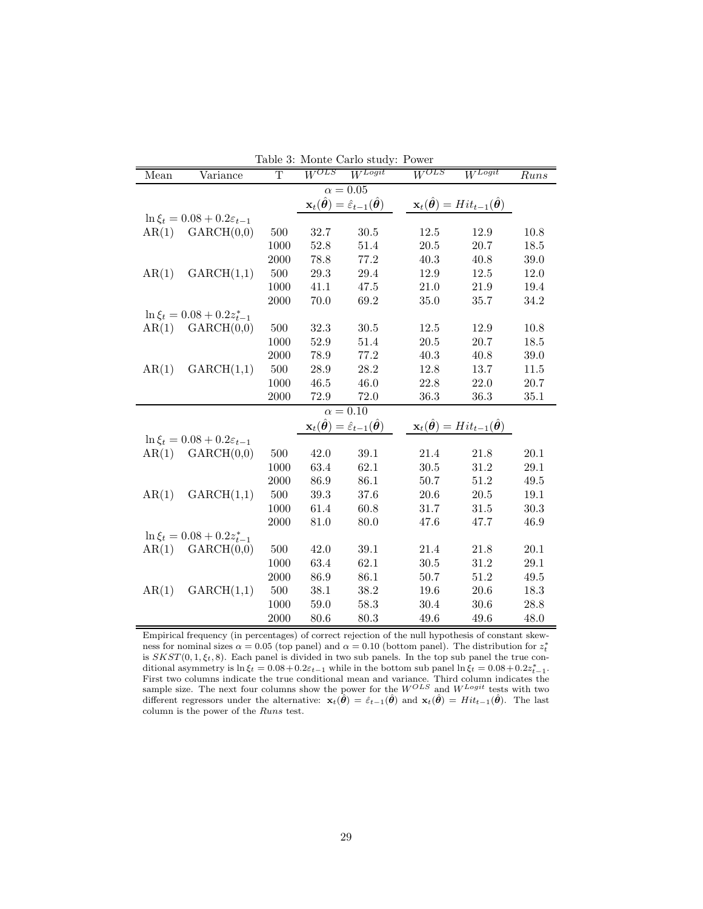| Table 3: Monte Carlo study: Power |                                            |                       |           |                                                                                                  |           |                                                                                  |                    |  |  |
|-----------------------------------|--------------------------------------------|-----------------------|-----------|--------------------------------------------------------------------------------------------------|-----------|----------------------------------------------------------------------------------|--------------------|--|--|
| Mean                              | Variance                                   | $\overline{\text{T}}$ | $W^{OLS}$ | $W^{\overline{Logit}}$                                                                           | $W^{OLS}$ | $W^{\textit{Logit}}$                                                             | $\overline{R}$ uns |  |  |
| $\alpha=0.05$                     |                                            |                       |           |                                                                                                  |           |                                                                                  |                    |  |  |
|                                   |                                            |                       |           | $\mathbf{x}_t(\hat{\boldsymbol{\theta}}) = \hat{\varepsilon}_{t-1}(\hat{\boldsymbol{\theta}})$   |           | $\mathbf{x}_t(\hat{\boldsymbol{\theta}}) = Hit_{t-1}(\hat{\boldsymbol{\theta}})$ |                    |  |  |
|                                   | $\ln \xi_t = 0.08 + 0.2 \varepsilon_{t-1}$ |                       |           |                                                                                                  |           |                                                                                  |                    |  |  |
| AR(1)                             | GARCH(0,0)                                 | 500                   | 32.7      | 30.5                                                                                             | 12.5      | 12.9                                                                             | 10.8               |  |  |
|                                   |                                            | 1000                  | 52.8      | 51.4                                                                                             | 20.5      | 20.7                                                                             | 18.5               |  |  |
|                                   |                                            | 2000                  | 78.8      | 77.2                                                                                             | 40.3      | 40.8                                                                             | 39.0               |  |  |
| AR(1)                             | GARCH(1,1)                                 | 500                   | $29.3\,$  | 29.4                                                                                             | 12.9      | 12.5                                                                             | 12.0               |  |  |
|                                   |                                            | 1000                  | 41.1      | 47.5                                                                                             | 21.0      | 21.9                                                                             | 19.4               |  |  |
|                                   |                                            | 2000                  | 70.0      | 69.2                                                                                             | 35.0      | 35.7                                                                             | 34.2               |  |  |
|                                   | $\ln \xi_t = 0.08 + 0.2 z_{t-1}^*$         |                       |           |                                                                                                  |           |                                                                                  |                    |  |  |
|                                   | $AR(1)$ $GARCH(0,0)$                       | 500                   | 32.3      | 30.5                                                                                             | 12.5      | 12.9                                                                             | 10.8               |  |  |
|                                   |                                            | 1000                  | $52.9\,$  | 51.4                                                                                             | 20.5      | 20.7                                                                             | 18.5               |  |  |
|                                   |                                            | 2000                  | 78.9      | 77.2                                                                                             | 40.3      | 40.8                                                                             | 39.0               |  |  |
| AR(1)                             | GARCH(1,1)                                 | 500                   | $28.9\,$  | 28.2                                                                                             | 12.8      | 13.7                                                                             | 11.5               |  |  |
|                                   |                                            | 1000                  | 46.5      | 46.0                                                                                             | 22.8      | 22.0                                                                             | $20.7\,$           |  |  |
|                                   |                                            | 2000                  | 72.9      | 72.0                                                                                             | 36.3      | 36.3                                                                             | 35.1               |  |  |
|                                   |                                            |                       |           | $\alpha = 0.10$                                                                                  |           |                                                                                  |                    |  |  |
|                                   |                                            |                       |           | $\mathbf{x}_{t}(\hat{\boldsymbol{\theta}}) = \hat{\varepsilon}_{t-1}(\hat{\boldsymbol{\theta}})$ |           | $\mathbf{x}_t(\hat{\boldsymbol{\theta}}) = Hit_{t-1}(\hat{\boldsymbol{\theta}})$ |                    |  |  |
|                                   | $\ln \xi_t = 0.08 + 0.2 \varepsilon_{t-1}$ |                       |           |                                                                                                  |           |                                                                                  |                    |  |  |
| AR(1)                             | GARCH(0,0)                                 | 500                   | 42.0      | 39.1                                                                                             | 21.4      | 21.8                                                                             | 20.1               |  |  |
|                                   |                                            | 1000                  | 63.4      | 62.1                                                                                             | 30.5      | 31.2                                                                             | 29.1               |  |  |
|                                   |                                            | 2000                  | 86.9      | 86.1                                                                                             | 50.7      | $51.2\,$                                                                         | 49.5               |  |  |
| AR(1)                             | GARCH(1,1)                                 | 500                   | $39.3\,$  | 37.6                                                                                             | 20.6      | $20.5\,$                                                                         | $19.1\,$           |  |  |
|                                   |                                            | 1000                  | 61.4      | 60.8                                                                                             | 31.7      | 31.5                                                                             | 30.3               |  |  |
|                                   |                                            | 2000                  | 81.0      | 80.0                                                                                             | 47.6      | 47.7                                                                             | 46.9               |  |  |
|                                   | $\ln \xi_t = 0.08 + 0.2 z_{t-1}^*$         |                       |           |                                                                                                  |           |                                                                                  |                    |  |  |
|                                   | $AR(1)$ $GARCH(0,0)$                       | 500                   | 42.0      | 39.1                                                                                             | 21.4      | 21.8                                                                             | $20.1\,$           |  |  |
|                                   |                                            | 1000                  | 63.4      | 62.1                                                                                             | 30.5      | 31.2                                                                             | 29.1               |  |  |
|                                   |                                            | 2000                  | 86.9      | 86.1                                                                                             | 50.7      | 51.2                                                                             | 49.5               |  |  |
| AR(1)                             | GARCH(1,1)                                 | 500                   | 38.1      | 38.2                                                                                             | 19.6      | 20.6                                                                             | 18.3               |  |  |
|                                   |                                            | 1000                  | $59.0\,$  | 58.3                                                                                             | 30.4      | 30.6                                                                             | 28.8               |  |  |
|                                   |                                            | 2000                  | 80.6      | $80.3\,$                                                                                         | 49.6      | 49.6                                                                             | 48.0               |  |  |

|  | Table 3: Monte Carlo study: Power |  |  |
|--|-----------------------------------|--|--|
|  |                                   |  |  |

Empirical frequency (in percentages) of correct rejection of the null hypothesis of constant skewness for nominal sizes  $\alpha = 0.05$  (top panel) and  $\alpha = 0.10$  (bottom panel). The distribution for  $z_t^*$ is  $SKST(0, 1, \xi_t, 8)$ . Each panel is divided in two sub panels. In the top sub panel the true conditional asymmetry is  $\ln \xi_t = 0.08 + 0.2\varepsilon_{t-1}$  while in the bottom sub panel  $\ln \xi_t = 0.08 + 0.2z_{t-1}^*$ . First two columns indicate the true conditional mean and variance. Third column indicates the sample size. The next four columns show the power for the  $W^{OLS}$  and  $W^{Logit}$  tests with two different regressors under the alternative:  $\mathbf{x}_t(\hat{\boldsymbol{\theta}}) = \hat{\varepsilon}_{t-1}(\hat{\boldsymbol{\theta}})$  and  $\mathbf{x}_t(\hat{\boldsymbol{\theta}}) = Hit_{t-1}(\hat{\boldsymbol{\theta}})$ . The last column is the power of the Runs test.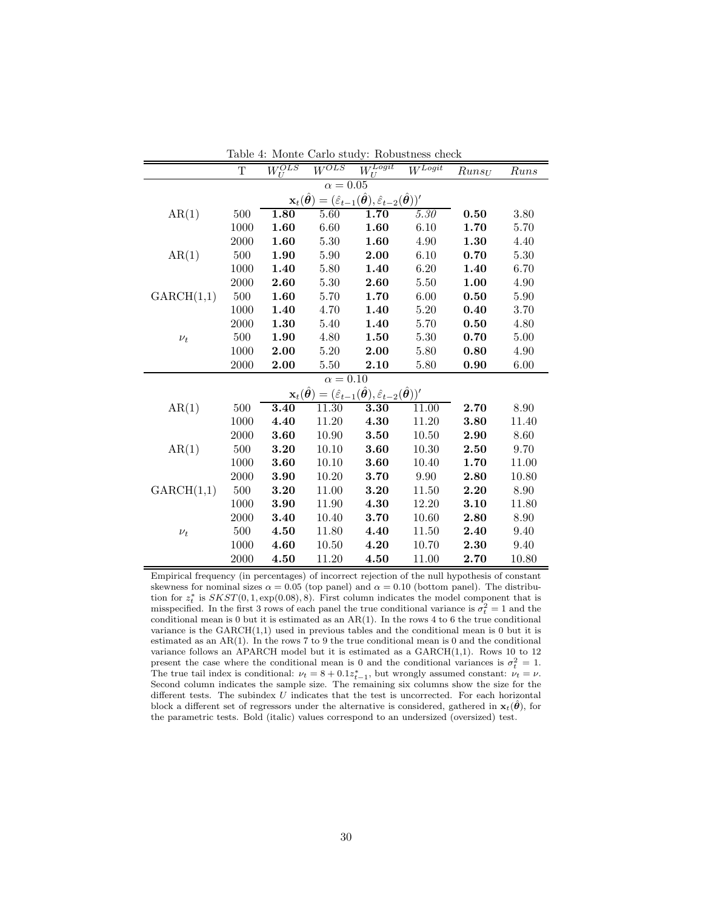|                                                                                                                                                    | Т    | $\overline{W_{II}^{OLS}}$ | $W^{\overline{OLS}}$ | $\frac{1}{U}$                                                                                                                                        | $W^{{\overline{Logit}}}$ | $Runs_U$ | Runs  |  |  |  |
|----------------------------------------------------------------------------------------------------------------------------------------------------|------|---------------------------|----------------------|------------------------------------------------------------------------------------------------------------------------------------------------------|--------------------------|----------|-------|--|--|--|
| $\alpha = 0.05$                                                                                                                                    |      |                           |                      |                                                                                                                                                      |                          |          |       |  |  |  |
| $=(\hat{\varepsilon}_{t-1}(\hat{\pmb{\theta}}),\hat{\varepsilon}_{t-2}(\hat{\pmb{\theta}}))^{\prime}$<br>$\mathbf{x}_t(\hat{\boldsymbol{\theta}})$ |      |                           |                      |                                                                                                                                                      |                          |          |       |  |  |  |
| AR(1)                                                                                                                                              | 500  | 1.80                      | 5.60                 | $1.70\,$                                                                                                                                             | 5.30                     | 0.50     | 3.80  |  |  |  |
|                                                                                                                                                    | 1000 | 1.60                      | 6.60                 | 1.60                                                                                                                                                 | 6.10                     | 1.70     | 5.70  |  |  |  |
|                                                                                                                                                    | 2000 | 1.60                      | 5.30                 | 1.60                                                                                                                                                 | 4.90                     | 1.30     | 4.40  |  |  |  |
| AR(1)                                                                                                                                              | 500  | 1.90                      | 5.90                 | 2.00                                                                                                                                                 | 6.10                     | 0.70     | 5.30  |  |  |  |
|                                                                                                                                                    | 1000 | 1.40                      | 5.80                 | 1.40                                                                                                                                                 | 6.20                     | 1.40     | 6.70  |  |  |  |
|                                                                                                                                                    | 2000 | 2.60                      | 5.30                 | 2.60                                                                                                                                                 | 5.50                     | 1.00     | 4.90  |  |  |  |
| GARCH(1,1)                                                                                                                                         | 500  | 1.60                      | 5.70                 | 1.70                                                                                                                                                 | 6.00                     | 0.50     | 5.90  |  |  |  |
|                                                                                                                                                    | 1000 | 1.40                      | 4.70                 | 1.40                                                                                                                                                 | 5.20                     | 0.40     | 3.70  |  |  |  |
|                                                                                                                                                    | 2000 | 1.30                      | 5.40                 | 1.40                                                                                                                                                 | 5.70                     | 0.50     | 4.80  |  |  |  |
| $\nu_t$                                                                                                                                            | 500  | 1.90                      | 4.80                 | 1.50                                                                                                                                                 | 5.30                     | 0.70     | 5.00  |  |  |  |
|                                                                                                                                                    | 1000 | 2.00                      | 5.20                 | 2.00                                                                                                                                                 | 5.80                     | 0.80     | 4.90  |  |  |  |
|                                                                                                                                                    | 2000 | 2.00                      | 5.50                 | 2.10                                                                                                                                                 | 5.80                     | 0.90     | 6.00  |  |  |  |
|                                                                                                                                                    |      |                           | $\alpha = 0.10$      |                                                                                                                                                      |                          |          |       |  |  |  |
|                                                                                                                                                    |      |                           |                      | $\mathbf{x}_{t}(\hat{\boldsymbol{\theta}})=(\hat{\varepsilon}_{t-1}(\hat{\boldsymbol{\theta}}),\hat{\varepsilon}_{t-2}(\hat{\boldsymbol{\theta}}))'$ |                          |          |       |  |  |  |
| AR(1)                                                                                                                                              | 500  | 3.40                      | 11.30                | 3.30                                                                                                                                                 | 11.00                    | 2.70     | 8.90  |  |  |  |
|                                                                                                                                                    | 1000 | 4.40                      | 11.20                | 4.30                                                                                                                                                 | 11.20                    | 3.80     | 11.40 |  |  |  |
|                                                                                                                                                    | 2000 | 3.60                      | 10.90                | 3.50                                                                                                                                                 | 10.50                    | 2.90     | 8.60  |  |  |  |
| AR(1)                                                                                                                                              | 500  | 3.20                      | 10.10                | 3.60                                                                                                                                                 | 10.30                    | 2.50     | 9.70  |  |  |  |
|                                                                                                                                                    | 1000 | 3.60                      | 10.10                | 3.60                                                                                                                                                 | 10.40                    | 1.70     | 11.00 |  |  |  |
|                                                                                                                                                    | 2000 | 3.90                      | 10.20                | 3.70                                                                                                                                                 | 9.90                     | 2.80     | 10.80 |  |  |  |
| GARCH(1,1)                                                                                                                                         | 500  | 3.20                      | 11.00                | 3.20                                                                                                                                                 | 11.50                    | 2.20     | 8.90  |  |  |  |
|                                                                                                                                                    | 1000 | 3.90                      | 11.90                | 4.30                                                                                                                                                 | 12.20                    | 3.10     | 11.80 |  |  |  |
|                                                                                                                                                    | 2000 | 3.40                      | 10.40                | 3.70                                                                                                                                                 | 10.60                    | 2.80     | 8.90  |  |  |  |
| $\nu_t$                                                                                                                                            | 500  | 4.50                      | 11.80                | 4.40                                                                                                                                                 | 11.50                    | 2.40     | 9.40  |  |  |  |
|                                                                                                                                                    | 1000 | 4.60                      | 10.50                | 4.20                                                                                                                                                 | 10.70                    | 2.30     | 9.40  |  |  |  |
|                                                                                                                                                    | 2000 | 4.50                      | 11.20                | 4.50                                                                                                                                                 | 11.00                    | 2.70     | 10.80 |  |  |  |

Table 4: Monte Carlo study: Robustness check

Empirical frequency (in percentages) of incorrect rejection of the null hypothesis of constant skewness for nominal sizes  $\alpha = 0.05$  (top panel) and  $\alpha = 0.10$  (bottom panel). The distribution for  $z_t^*$  is  $SKST(0, 1, \exp(0.08), 8)$ . First column indicates the model component that is misspecified. In the first 3 rows of each panel the true conditional variance is  $\sigma_t^2 = 1$  and the conditional mean is 0 but it is estimated as an AR(1). In the rows 4 to 6 the true conditional variance is the GARCH(1,1) used in previous tables and the conditional mean is 0 but it is estimated as an AR(1). In the rows 7 to 9 the true conditional mean is 0 and the conditional variance follows an APARCH model but it is estimated as a  $GARCH(1,1)$ . Rows 10 to 12 present the case where the conditional mean is 0 and the conditional variances is  $\sigma_t^2 = 1$ . The true tail index is conditional:  $\nu_t = 8 + 0.1z_{t-1}^*$ , but wrongly assumed constant:  $\nu_t = \nu$ . Second column indicates the sample size. The remaining six columns show the size for the different tests. The subindex  $U$  indicates that the test is uncorrected. For each horizontal block a different set of regressors under the alternative is considered, gathered in  $\mathbf{x}_t(\hat{\theta})$ , for the parametric tests. Bold (italic) values correspond to an undersized (oversized) test.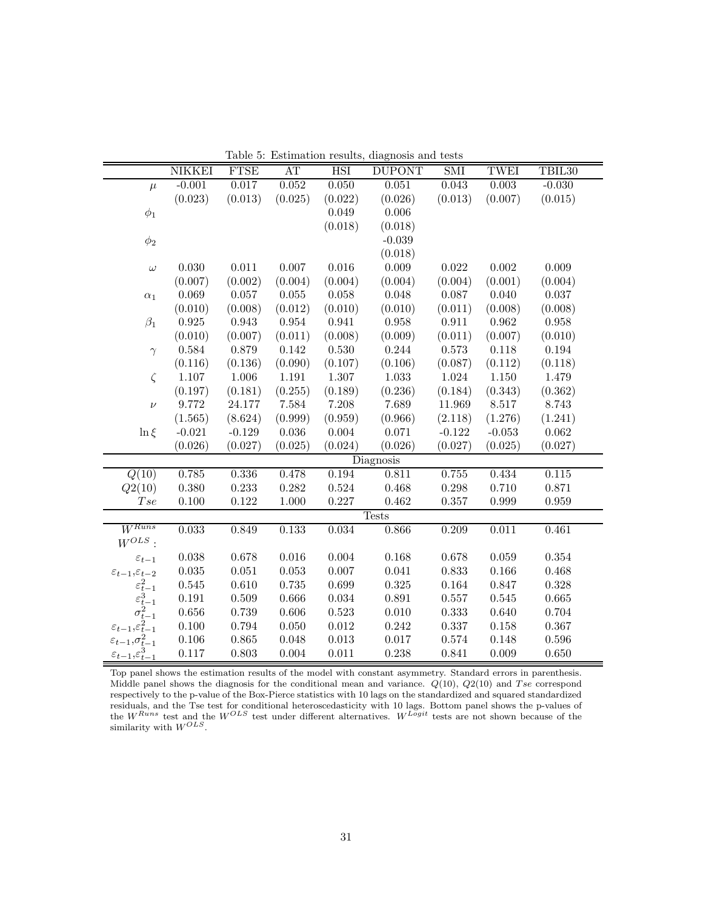|                                         | NIKKEI      | <b>FTSE</b> | AT        | <b>HSI</b>  | Lable 9. Estimation results, diagnosis and tests<br><b>DUPONT</b> | SMI      | TWEI      | TBIL <sub>30</sub> |
|-----------------------------------------|-------------|-------------|-----------|-------------|-------------------------------------------------------------------|----------|-----------|--------------------|
| $\mu$                                   | $-0.001$    | 0.017       | 0.052     | 0.050       | 0.051                                                             | 0.043    | 0.003     | $-0.030$           |
|                                         | (0.023)     | (0.013)     | (0.025)   | (0.022)     | (0.026)                                                           | (0.013)  | (0.007)   | (0.015)            |
| $\phi_1$                                |             |             |           | 0.049       | 0.006                                                             |          |           |                    |
|                                         |             |             |           | (0.018)     | (0.018)                                                           |          |           |                    |
| $\phi_2$                                |             |             |           |             | $-0.039$                                                          |          |           |                    |
|                                         |             |             |           |             | (0.018)                                                           |          |           |                    |
| $\omega$                                | 0.030       | 0.011       | $0.007\,$ | 0.016       | 0.009                                                             | 0.022    | $0.002\,$ | 0.009              |
|                                         | (0.007)     | (0.002)     | (0.004)   | (0.004)     | (0.004)                                                           | (0.004)  | (0.001)   | (0.004)            |
| $\alpha_1$                              | 0.069       | 0.057       | 0.055     | 0.058       | 0.048                                                             | 0.087    | 0.040     | 0.037              |
|                                         | (0.010)     | (0.008)     | (0.012)   | (0.010)     | (0.010)                                                           | (0.011)  | (0.008)   | (0.008)            |
| $\beta_1$                               | 0.925       | 0.943       | 0.954     | 0.941       | 0.958                                                             | 0.911    | 0.962     | 0.958              |
|                                         | (0.010)     | (0.007)     | (0.011)   | (0.008)     | (0.009)                                                           | (0.011)  | (0.007)   | (0.010)            |
| $\gamma$                                | 0.584       | 0.879       | $0.142\,$ | 0.530       | 0.244                                                             | 0.573    | 0.118     | 0.194              |
|                                         | (0.116)     | (0.136)     | (0.090)   | (0.107)     | (0.106)                                                           | (0.087)  | (0.112)   | (0.118)            |
| $\zeta$                                 | $1.107\,$   | 1.006       | $1.191\,$ | 1.307       | 1.033                                                             | 1.024    | $1.150\,$ | 1.479              |
|                                         | (0.197)     | (0.181)     | (0.255)   | (0.189)     | (0.236)                                                           | (0.184)  | (0.343)   | (0.362)            |
| $\nu$                                   | 9.772       | 24.177      | 7.584     | 7.208       | 7.689                                                             | 11.969   | 8.517     | 8.743              |
|                                         | (1.565)     | (8.624)     | (0.999)   | (0.959)     | (0.966)                                                           | (2.118)  | (1.276)   | (1.241)            |
| $\ln \xi$                               | $-0.021$    | $-0.129$    | $0.036\,$ | $0.004\,$   | 0.071                                                             | $-0.122$ | $-0.053$  | $\,0.062\,$        |
|                                         | (0.026)     | (0.027)     | (0.025)   | (0.024)     | (0.026)                                                           | (0.027)  | (0.025)   | (0.027)            |
|                                         |             |             |           |             | Diagnosis                                                         |          |           |                    |
| Q(10)                                   | 0.785       | 0.336       | 0.478     | 0.194       | 0.811                                                             | 0.755    | 0.434     | 0.115              |
| Q2(10)                                  | 0.380       | 0.233       | 0.282     | 0.524       | 0.468                                                             | 0.298    | 0.710     | 0.871              |
| Tse                                     | $0.100\,$   | 0.122       | 1.000     | 0.227       | 0.462                                                             | 0.357    | 0.999     | 0.959              |
|                                         |             |             |           |             | <b>Tests</b>                                                      |          |           |                    |
| $W^{Runs}$                              | 0.033       | 0.849       | 0.133     | 0.034       | 0.866                                                             | 0.209    | 0.011     | 0.461              |
| $W^{OLS}$ :                             |             |             |           |             |                                                                   |          |           |                    |
| $\varepsilon_{t-1}$                     | 0.038       | 0.678       | 0.016     | 0.004       | 0.168                                                             | 0.678    | 0.059     | 0.354              |
| $\varepsilon_{t-1},\!\varepsilon_{t-2}$ | $\,0.035\,$ | 0.051       | 0.053     | 0.007       | 0.041                                                             | 0.833    | 0.166     | 0.468              |
| $\varepsilon_{t-1}^2$                   | 0.545       | 0.610       | 0.735     | 0.699       | 0.325                                                             | 0.164    | 0.847     | 0.328              |
| $\varepsilon_{t-}^3$                    | 0.191       | 0.509       | 0.666     | $\,0.034\,$ | 0.891                                                             | 0.557    | $\!0.545$ | 0.665              |
| $-1$<br>$\sigma_{t-1}^2$                | $0.656\,$   | 0.739       | 0.606     | 0.523       | 0.010                                                             | 0.333    | 0.640     | 0.704              |
| $\varepsilon_{t-1},\varepsilon_{t-1}^2$ | $0.100\,$   | 0.794       | 0.050     | 0.012       | 0.242                                                             | 0.337    | $0.158\,$ | 0.367              |
| $\varepsilon_{t-1}, \sigma_{t-1}^2$     | $0.106\,$   | 0.865       | 0.048     | 0.013       | 0.017                                                             | 0.574    | 0.148     | 0.596              |
| $\varepsilon_{t-1},\varepsilon_{t-1}^3$ | $0.117\,$   | 0.803       | 0.004     | 0.011       | 0.238                                                             | 0.841    | 0.009     | 0.650              |
|                                         |             |             |           |             |                                                                   |          |           |                    |

Table 5: Estimation results, diagnosis and tests

Top panel shows the estimation results of the model with constant asymmetry. Standard errors in parenthesis. Middle panel shows the diagnosis for the conditional mean and variance.  $Q(10)$ ,  $Q2(10)$  and T se correspond respectively to the p-value of the Box-Pierce statistics with 10 lags on the standardized and squared standardized residuals, and the Tse test for conditional heteroscedasticity with 10 lags. Bottom panel shows the p-values of the  $W^{Runs}$  test and the  $W^{OLS}$  test under different alternatives.  $W^{Logit}$  tests are not shown because of the similarity with  $W^{OLS}$ .